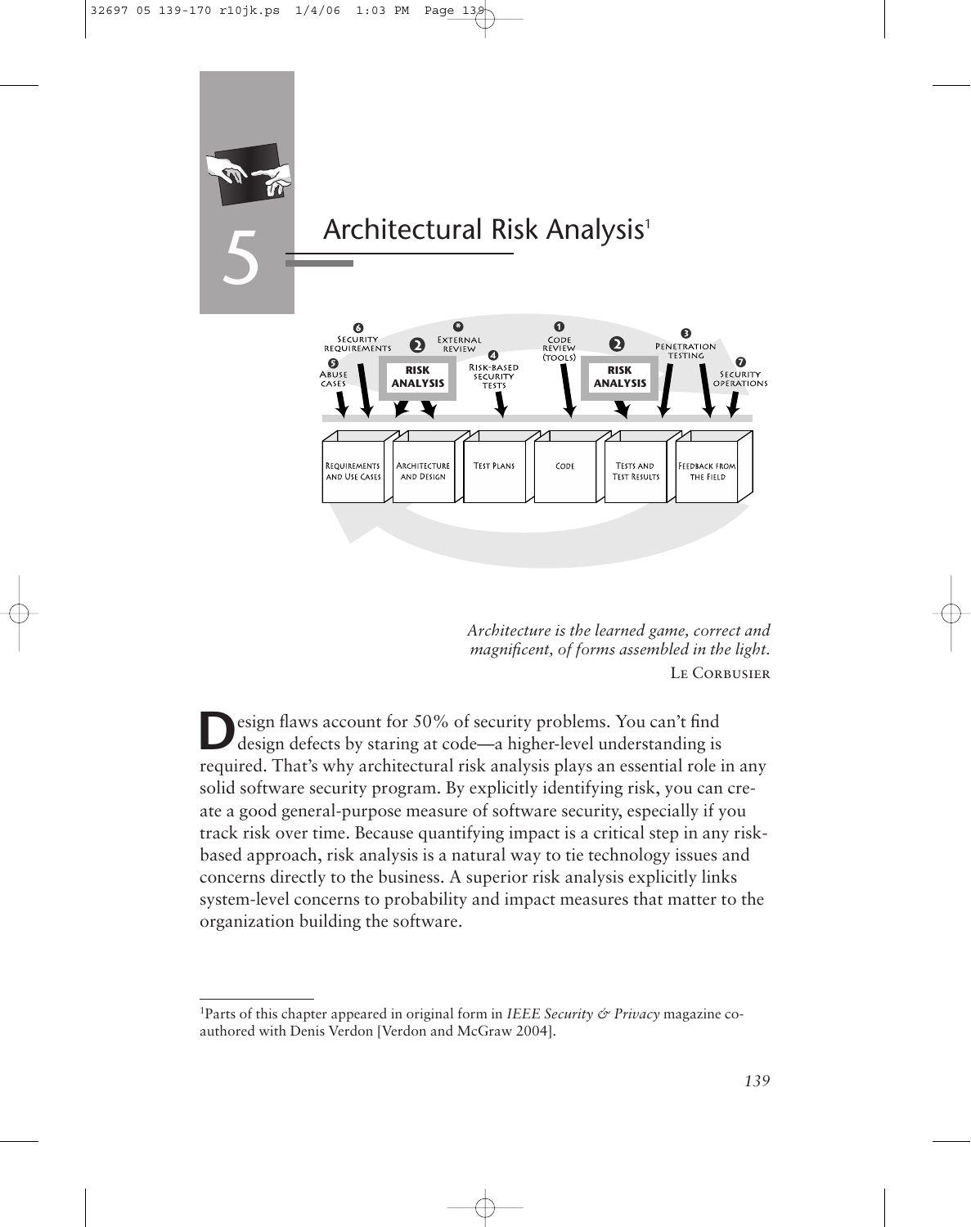

*Architecture is the learned game, correct and magnificent, of forms assembled in the light.* Le Corbusier

**D**esign flaws account for 50% of security problems. You can't find<br>design defects by staring at code—a higher-level understanding is required. That's why architectural risk analysis plays an essential role in any solid software security program. By explicitly identifying risk, you can create a good general-purpose measure of software security, especially if you track risk over time. Because quantifying impact is a critical step in any riskbased approach, risk analysis is a natural way to tie technology issues and concerns directly to the business. A superior risk analysis explicitly links system-level concerns to probability and impact measures that matter to the organization building the software.

<sup>1</sup>Parts of this chapter appeared in original form in *IEEE Security & Privacy* magazine coauthored with Denis Verdon [Verdon and McGraw 2004].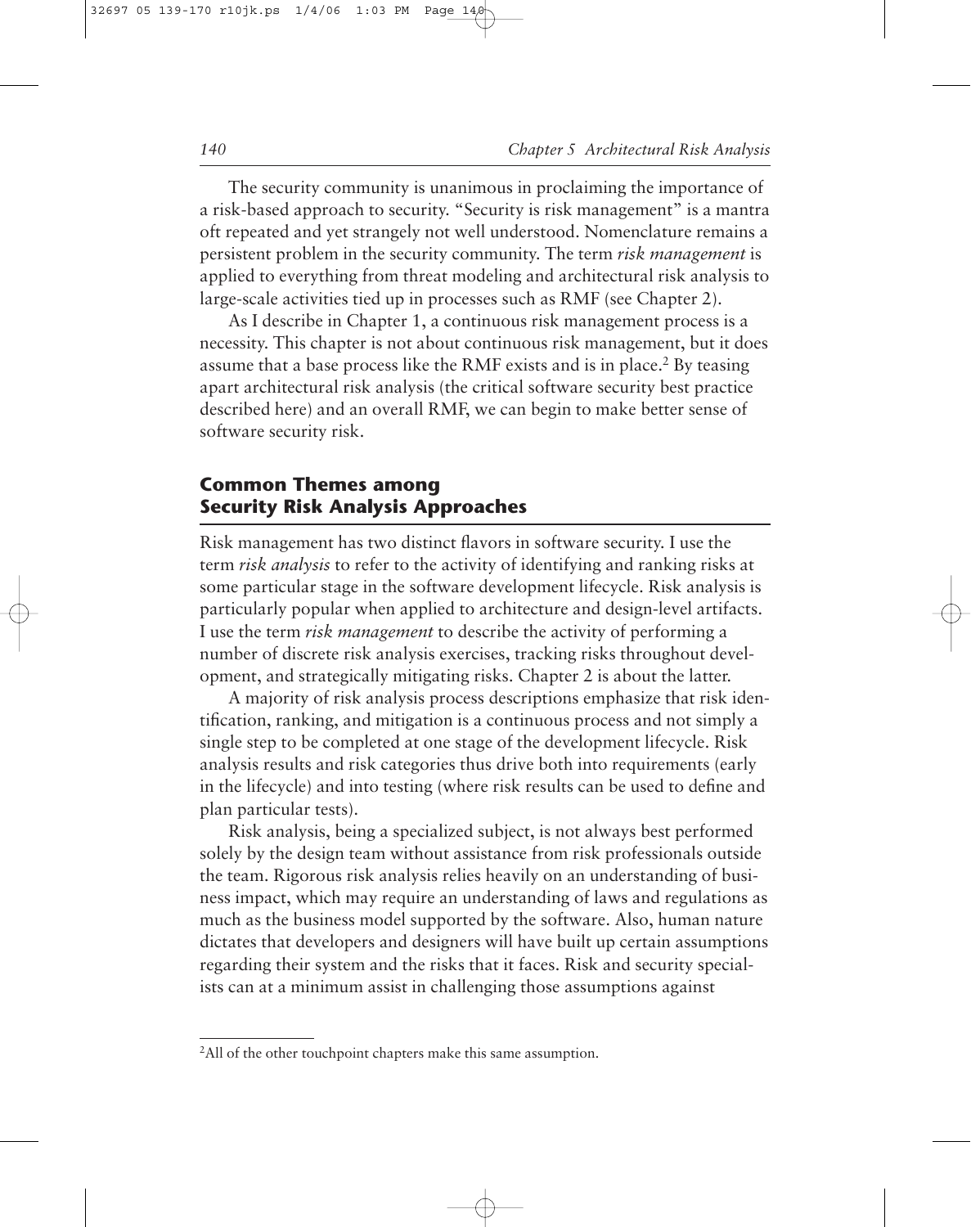The security community is unanimous in proclaiming the importance of a risk-based approach to security. "Security is risk management" is a mantra oft repeated and yet strangely not well understood. Nomenclature remains a persistent problem in the security community. The term *risk management* is applied to everything from threat modeling and architectural risk analysis to large-scale activities tied up in processes such as RMF (see Chapter 2).

As I describe in Chapter 1, a continuous risk management process is a necessity. This chapter is not about continuous risk management, but it does assume that a base process like the RMF exists and is in place.<sup>2</sup> By teasing apart architectural risk analysis (the critical software security best practice described here) and an overall RMF, we can begin to make better sense of software security risk.

# **Common Themes among Security Risk Analysis Approaches**

Risk management has two distinct flavors in software security. I use the term *risk analysis* to refer to the activity of identifying and ranking risks at some particular stage in the software development lifecycle. Risk analysis is particularly popular when applied to architecture and design-level artifacts. I use the term *risk management* to describe the activity of performing a number of discrete risk analysis exercises, tracking risks throughout development, and strategically mitigating risks. Chapter 2 is about the latter.

A majority of risk analysis process descriptions emphasize that risk identification, ranking, and mitigation is a continuous process and not simply a single step to be completed at one stage of the development lifecycle. Risk analysis results and risk categories thus drive both into requirements (early in the lifecycle) and into testing (where risk results can be used to define and plan particular tests).

Risk analysis, being a specialized subject, is not always best performed solely by the design team without assistance from risk professionals outside the team. Rigorous risk analysis relies heavily on an understanding of business impact, which may require an understanding of laws and regulations as much as the business model supported by the software. Also, human nature dictates that developers and designers will have built up certain assumptions regarding their system and the risks that it faces. Risk and security specialists can at a minimum assist in challenging those assumptions against

<sup>2</sup>All of the other touchpoint chapters make this same assumption.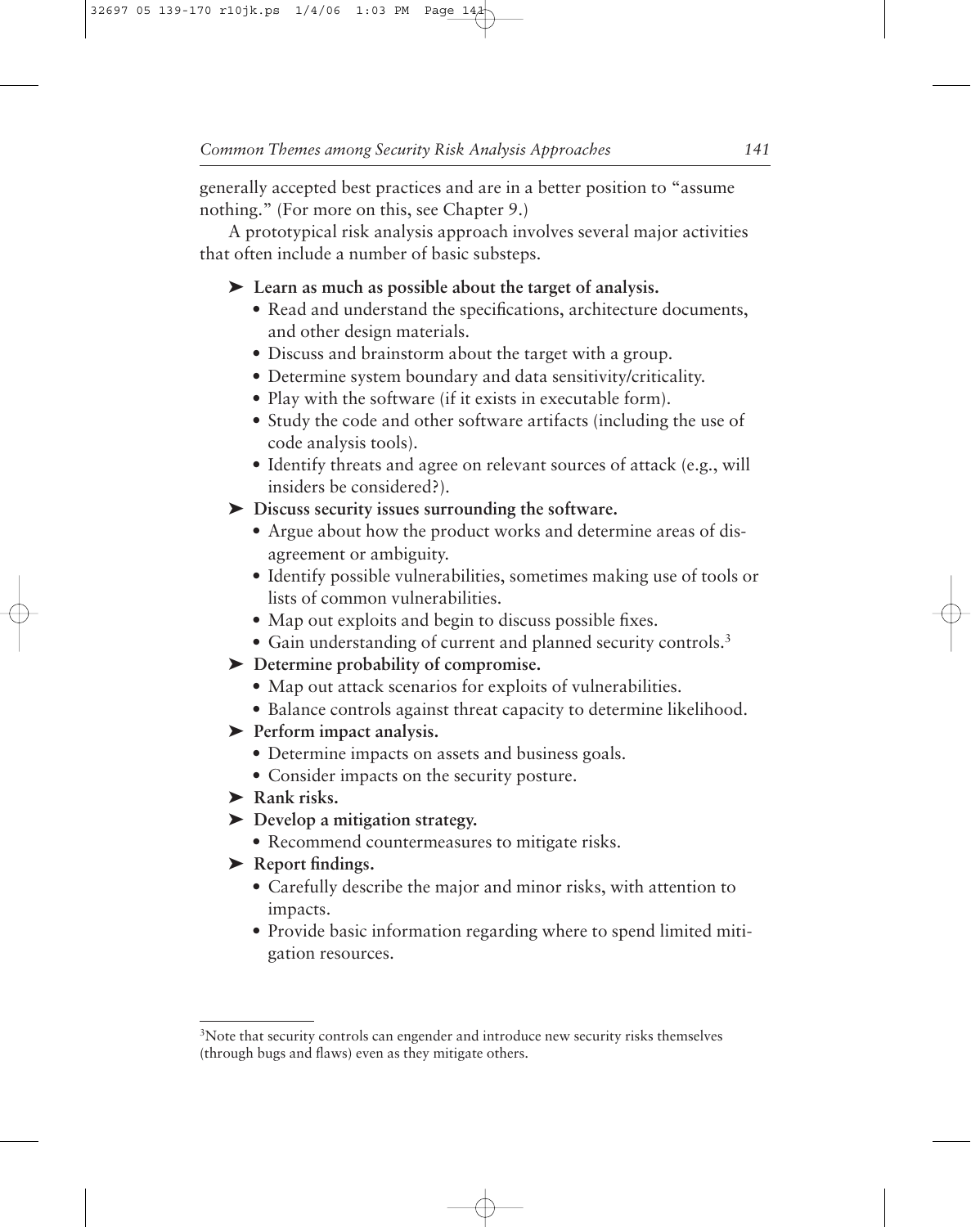#### *Common Themes among Security Risk Analysis Approaches 141*

generally accepted best practices and are in a better position to "assume nothing." (For more on this, see Chapter 9.)

A prototypical risk analysis approach involves several major activities that often include a number of basic substeps.

## ➤ **Learn as much as possible about the target of analysis.**

- Read and understand the specifications, architecture documents, and other design materials.
- Discuss and brainstorm about the target with a group.
- Determine system boundary and data sensitivity/criticality.
- Play with the software (if it exists in executable form).
- Study the code and other software artifacts (including the use of code analysis tools).
- Identify threats and agree on relevant sources of attack (e.g., will insiders be considered?).
- ➤ **Discuss security issues surrounding the software.**
	- Argue about how the product works and determine areas of disagreement or ambiguity.
	- Identify possible vulnerabilities, sometimes making use of tools or lists of common vulnerabilities.
	- Map out exploits and begin to discuss possible fixes.
	- Gain understanding of current and planned security controls.3
- ➤ **Determine probability of compromise.**
	- Map out attack scenarios for exploits of vulnerabilities.
	- Balance controls against threat capacity to determine likelihood.
- ➤ **Perform impact analysis.**
	- Determine impacts on assets and business goals.
	- Consider impacts on the security posture.
- ➤ **Rank risks.**
- ➤ **Develop a mitigation strategy.**
	- Recommend countermeasures to mitigate risks.
- ➤ **Report findings.**
	- Carefully describe the major and minor risks, with attention to impacts.
	- Provide basic information regarding where to spend limited mitigation resources.

<sup>3</sup>Note that security controls can engender and introduce new security risks themselves (through bugs and flaws) even as they mitigate others.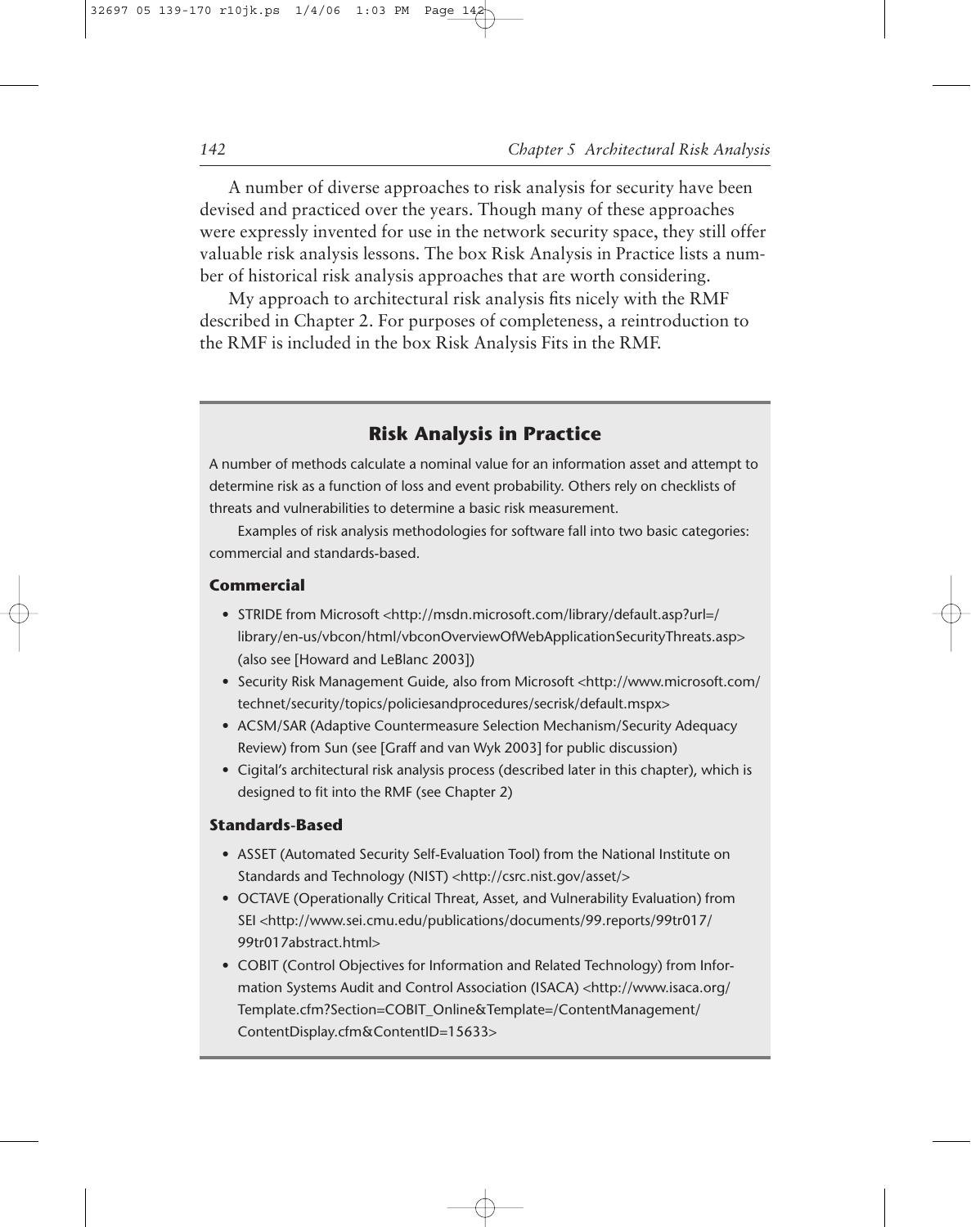A number of diverse approaches to risk analysis for security have been devised and practiced over the years. Though many of these approaches were expressly invented for use in the network security space, they still offer valuable risk analysis lessons. The box Risk Analysis in Practice lists a number of historical risk analysis approaches that are worth considering.

My approach to architectural risk analysis fits nicely with the RMF described in Chapter 2. For purposes of completeness, a reintroduction to the RMF is included in the box Risk Analysis Fits in the RMF.

# **Risk Analysis in Practice**

A number of methods calculate a nominal value for an information asset and attempt to determine risk as a function of loss and event probability. Others rely on checklists of threats and vulnerabilities to determine a basic risk measurement.

Examples of risk analysis methodologies for software fall into two basic categories: commercial and standards-based.

#### **Commercial**

- STRIDE from Microsoft <http://msdn.microsoft.com/library/default.asp?url=/ library/en-us/vbcon/html/vbconOverviewOfWebApplicationSecurityThreats.asp> (also see [Howard and LeBlanc 2003])
- Security Risk Management Guide, also from Microsoft <http://www.microsoft.com/ technet/security/topics/policiesandprocedures/secrisk/default.mspx>
- ACSM/SAR (Adaptive Countermeasure Selection Mechanism/Security Adequacy Review) from Sun (see [Graff and van Wyk 2003] for public discussion)
- Cigital's architectural risk analysis process (described later in this chapter), which is designed to fit into the RMF (see Chapter 2)

#### **Standards-Based**

- ASSET (Automated Security Self-Evaluation Tool) from the National Institute on Standards and Technology (NIST) <http://csrc.nist.gov/asset/>
- OCTAVE (Operationally Critical Threat, Asset, and Vulnerability Evaluation) from SEI <http://www.sei.cmu.edu/publications/documents/99.reports/99tr017/ 99tr017abstract.html>
- COBIT (Control Objectives for Information and Related Technology) from Information Systems Audit and Control Association (ISACA) <http://www.isaca.org/ Template.cfm?Section=COBIT\_Online&Template=/ContentManagement/ ContentDisplay.cfm&ContentID=15633>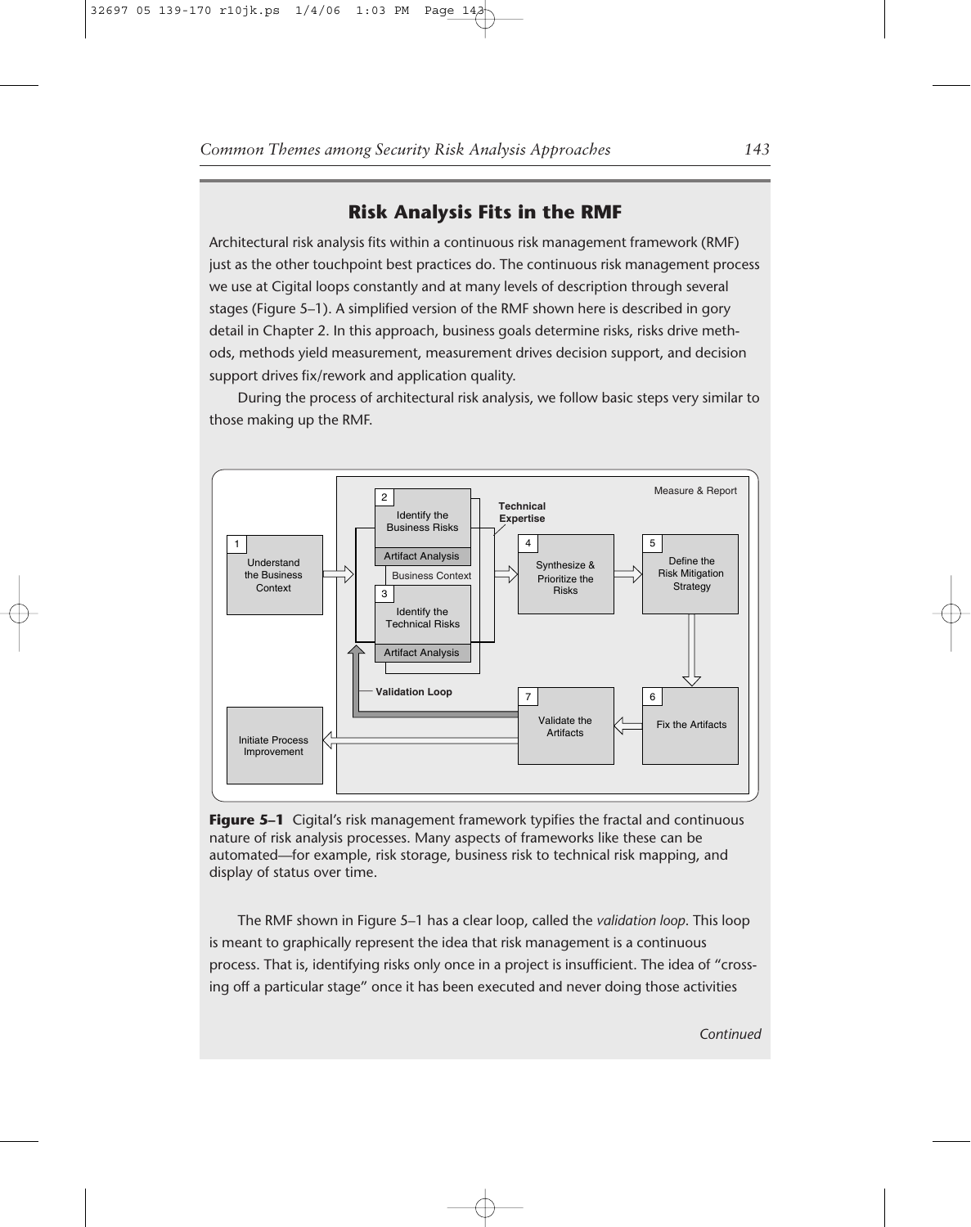*Common Themes among Security Risk Analysis Approaches 143*

# **Risk Analysis Fits in the RMF**

Architectural risk analysis fits within a continuous risk management framework (RMF) just as the other touchpoint best practices do. The continuous risk management process we use at Cigital loops constantly and at many levels of description through several stages (Figure 5–1). A simplified version of the RMF shown here is described in gory detail in Chapter 2. In this approach, business goals determine risks, risks drive methods, methods yield measurement, measurement drives decision support, and decision support drives fix/rework and application quality.

During the process of architectural risk analysis, we follow basic steps very similar to those making up the RMF.



**Figure 5–1** Cigital's risk management framework typifies the fractal and continuous nature of risk analysis processes. Many aspects of frameworks like these can be automated—for example, risk storage, business risk to technical risk mapping, and display of status over time.

The RMF shown in Figure 5–1 has a clear loop, called the *validation loop*. This loop is meant to graphically represent the idea that risk management is a continuous process. That is, identifying risks only once in a project is insufficient. The idea of "crossing off a particular stage" once it has been executed and never doing those activities

*Continued*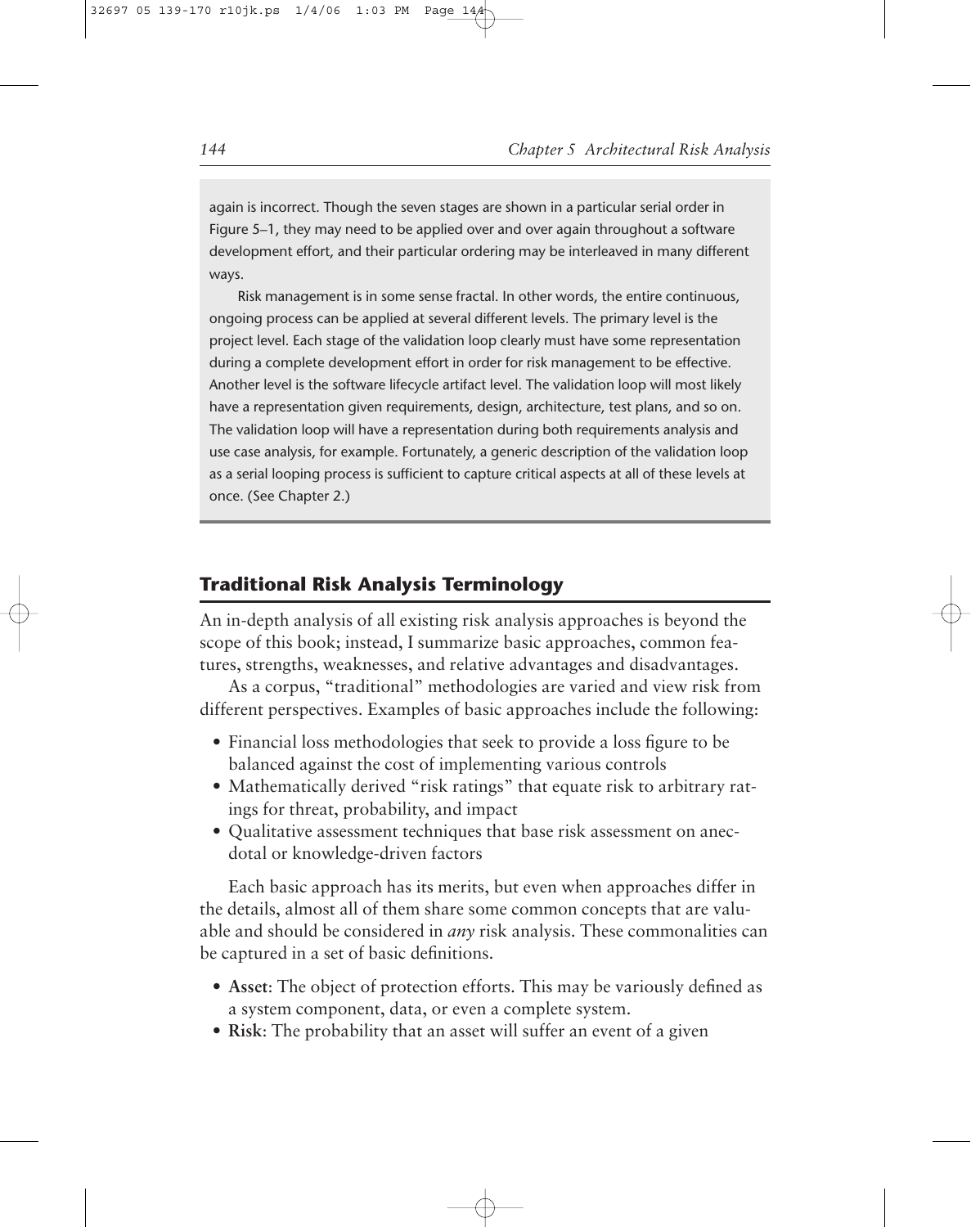again is incorrect. Though the seven stages are shown in a particular serial order in Figure 5–1, they may need to be applied over and over again throughout a software development effort, and their particular ordering may be interleaved in many different ways.

Risk management is in some sense fractal. In other words, the entire continuous, ongoing process can be applied at several different levels. The primary level is the project level. Each stage of the validation loop clearly must have some representation during a complete development effort in order for risk management to be effective. Another level is the software lifecycle artifact level. The validation loop will most likely have a representation given requirements, design, architecture, test plans, and so on. The validation loop will have a representation during both requirements analysis and use case analysis, for example. Fortunately, a generic description of the validation loop as a serial looping process is sufficient to capture critical aspects at all of these levels at once. (See Chapter 2.)

# **Traditional Risk Analysis Terminology**

An in-depth analysis of all existing risk analysis approaches is beyond the scope of this book; instead, I summarize basic approaches, common features, strengths, weaknesses, and relative advantages and disadvantages.

As a corpus, "traditional" methodologies are varied and view risk from different perspectives. Examples of basic approaches include the following:

- Financial loss methodologies that seek to provide a loss figure to be balanced against the cost of implementing various controls
- Mathematically derived "risk ratings" that equate risk to arbitrary ratings for threat, probability, and impact
- Qualitative assessment techniques that base risk assessment on anecdotal or knowledge-driven factors

Each basic approach has its merits, but even when approaches differ in the details, almost all of them share some common concepts that are valuable and should be considered in *any* risk analysis. These commonalities can be captured in a set of basic definitions.

- **Asset**: The object of protection efforts. This may be variously defined as a system component, data, or even a complete system.
- **Risk**: The probability that an asset will suffer an event of a given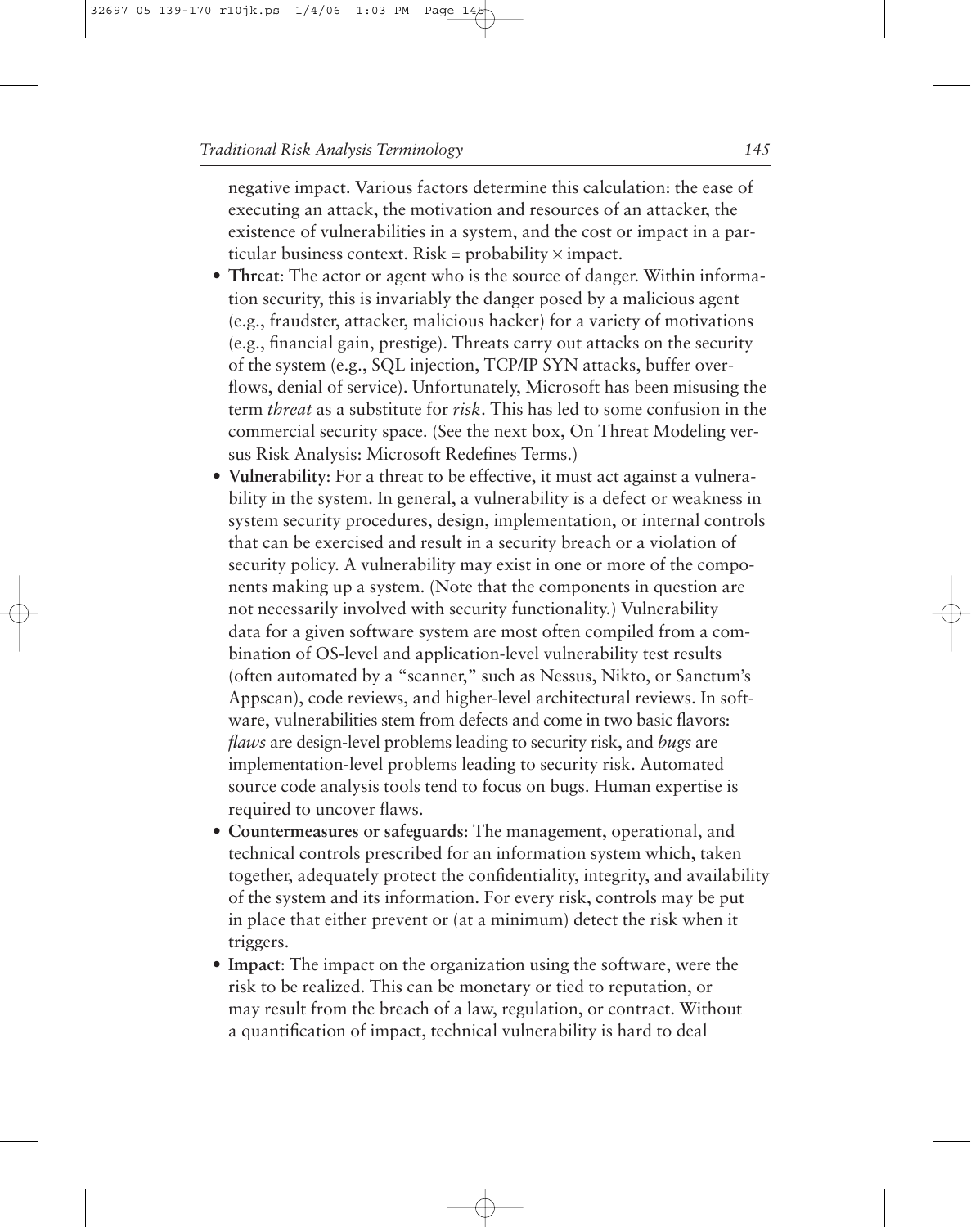#### *Traditional Risk Analysis Terminology 145*

negative impact. Various factors determine this calculation: the ease of executing an attack, the motivation and resources of an attacker, the existence of vulnerabilities in a system, and the cost or impact in a particular business context. Risk = probability  $\times$  impact.

- **Threat**: The actor or agent who is the source of danger. Within information security, this is invariably the danger posed by a malicious agent (e.g., fraudster, attacker, malicious hacker) for a variety of motivations (e.g., financial gain, prestige). Threats carry out attacks on the security of the system (e.g., SQL injection, TCP/IP SYN attacks, buffer overflows, denial of service). Unfortunately, Microsoft has been misusing the term *threat* as a substitute for *risk*. This has led to some confusion in the commercial security space. (See the next box, On Threat Modeling versus Risk Analysis: Microsoft Redefines Terms.)
- **Vulnerability**: For a threat to be effective, it must act against a vulnerability in the system. In general, a vulnerability is a defect or weakness in system security procedures, design, implementation, or internal controls that can be exercised and result in a security breach or a violation of security policy. A vulnerability may exist in one or more of the components making up a system. (Note that the components in question are not necessarily involved with security functionality.) Vulnerability data for a given software system are most often compiled from a combination of OS-level and application-level vulnerability test results (often automated by a "scanner," such as Nessus, Nikto, or Sanctum's Appscan), code reviews, and higher-level architectural reviews. In software, vulnerabilities stem from defects and come in two basic flavors: *flaws* are design-level problems leading to security risk, and *bugs* are implementation-level problems leading to security risk. Automated source code analysis tools tend to focus on bugs. Human expertise is required to uncover flaws.
- **Countermeasures or safeguards**: The management, operational, and technical controls prescribed for an information system which, taken together, adequately protect the confidentiality, integrity, and availability of the system and its information. For every risk, controls may be put in place that either prevent or (at a minimum) detect the risk when it triggers.
- **Impact**: The impact on the organization using the software, were the risk to be realized. This can be monetary or tied to reputation, or may result from the breach of a law, regulation, or contract. Without a quantification of impact, technical vulnerability is hard to deal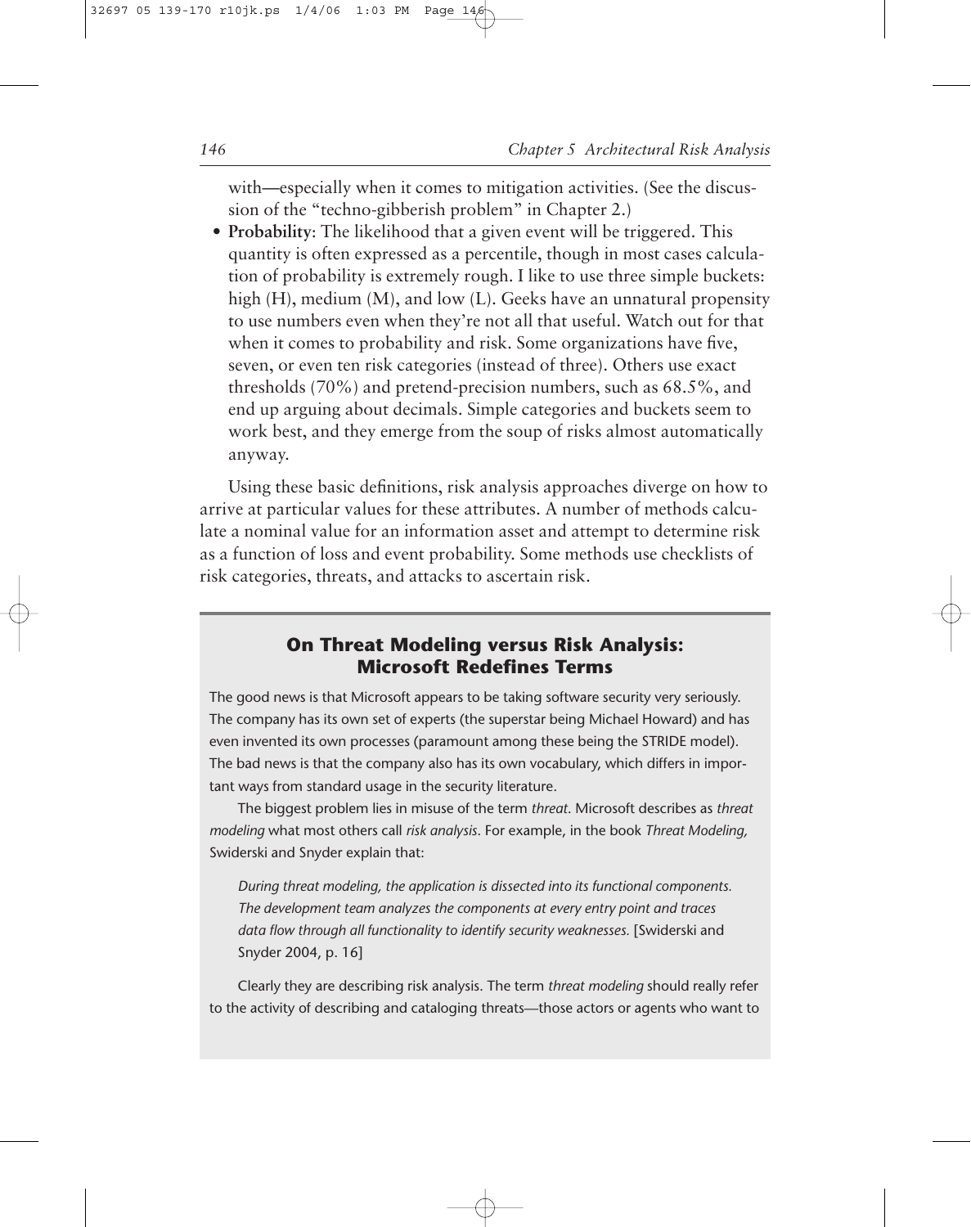with—especially when it comes to mitigation activities. (See the discussion of the "techno-gibberish problem" in Chapter 2.)

• **Probability**: The likelihood that a given event will be triggered. This quantity is often expressed as a percentile, though in most cases calculation of probability is extremely rough. I like to use three simple buckets: high (H), medium (M), and low (L). Geeks have an unnatural propensity to use numbers even when they're not all that useful. Watch out for that when it comes to probability and risk. Some organizations have five, seven, or even ten risk categories (instead of three). Others use exact thresholds (70%) and pretend-precision numbers, such as 68.5%, and end up arguing about decimals. Simple categories and buckets seem to work best, and they emerge from the soup of risks almost automatically anyway.

Using these basic definitions, risk analysis approaches diverge on how to arrive at particular values for these attributes. A number of methods calculate a nominal value for an information asset and attempt to determine risk as a function of loss and event probability. Some methods use checklists of risk categories, threats, and attacks to ascertain risk.

# **On Threat Modeling versus Risk Analysis: Microsoft Redefines Terms**

The good news is that Microsoft appears to be taking software security very seriously. The company has its own set of experts (the superstar being Michael Howard) and has even invented its own processes (paramount among these being the STRIDE model). The bad news is that the company also has its own vocabulary, which differs in important ways from standard usage in the security literature.

The biggest problem lies in misuse of the term *threat*. Microsoft describes as *threat modeling* what most others call *risk analysis*. For example, in the book *Threat Modeling,* Swiderski and Snyder explain that:

*During threat modeling, the application is dissected into its functional components. The development team analyzes the components at every entry point and traces* data flow through all functionality to identify security weaknesses. [Swiderski and Snyder 2004, p. 16]

Clearly they are describing risk analysis. The term *threat modeling* should really refer to the activity of describing and cataloging threats—those actors or agents who want to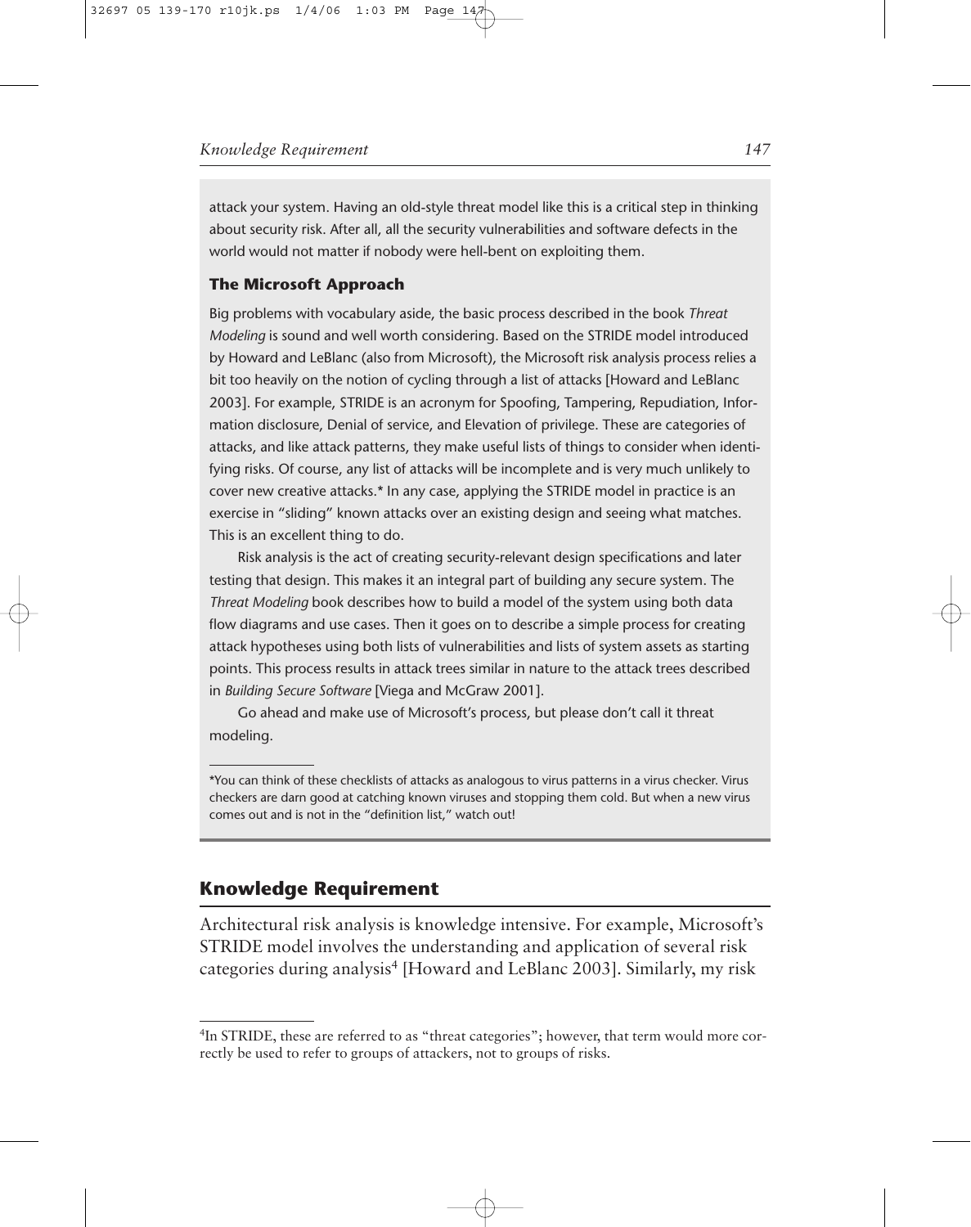#### *Knowledge Requirement 147*

attack your system. Having an old-style threat model like this is a critical step in thinking about security risk. After all, all the security vulnerabilities and software defects in the world would not matter if nobody were hell-bent on exploiting them.

### **The Microsoft Approach**

Big problems with vocabulary aside, the basic process described in the book *Threat Modeling* is sound and well worth considering. Based on the STRIDE model introduced by Howard and LeBlanc (also from Microsoft), the Microsoft risk analysis process relies a bit too heavily on the notion of cycling through a list of attacks [Howard and LeBlanc 2003]. For example, STRIDE is an acronym for Spoofing, Tampering, Repudiation, Information disclosure, Denial of service, and Elevation of privilege. These are categories of attacks, and like attack patterns, they make useful lists of things to consider when identifying risks. Of course, any list of attacks will be incomplete and is very much unlikely to cover new creative attacks.\* In any case, applying the STRIDE model in practice is an exercise in "sliding" known attacks over an existing design and seeing what matches. This is an excellent thing to do.

Risk analysis is the act of creating security-relevant design specifications and later testing that design. This makes it an integral part of building any secure system. The *Threat Modeling* book describes how to build a model of the system using both data flow diagrams and use cases. Then it goes on to describe a simple process for creating attack hypotheses using both lists of vulnerabilities and lists of system assets as starting points. This process results in attack trees similar in nature to the attack trees described in *Building Secure Software* [Viega and McGraw 2001].

Go ahead and make use of Microsoft's process, but please don't call it threat modeling.

# **Knowledge Requirement**

Architectural risk analysis is knowledge intensive. For example, Microsoft's STRIDE model involves the understanding and application of several risk categories during analysis<sup>4</sup> [Howard and LeBlanc 2003]. Similarly, my risk

<sup>\*</sup>You can think of these checklists of attacks as analogous to virus patterns in a virus checker. Virus checkers are darn good at catching known viruses and stopping them cold. But when a new virus comes out and is not in the "definition list," watch out!

<sup>4</sup>In STRIDE, these are referred to as "threat categories"; however, that term would more correctly be used to refer to groups of attackers, not to groups of risks.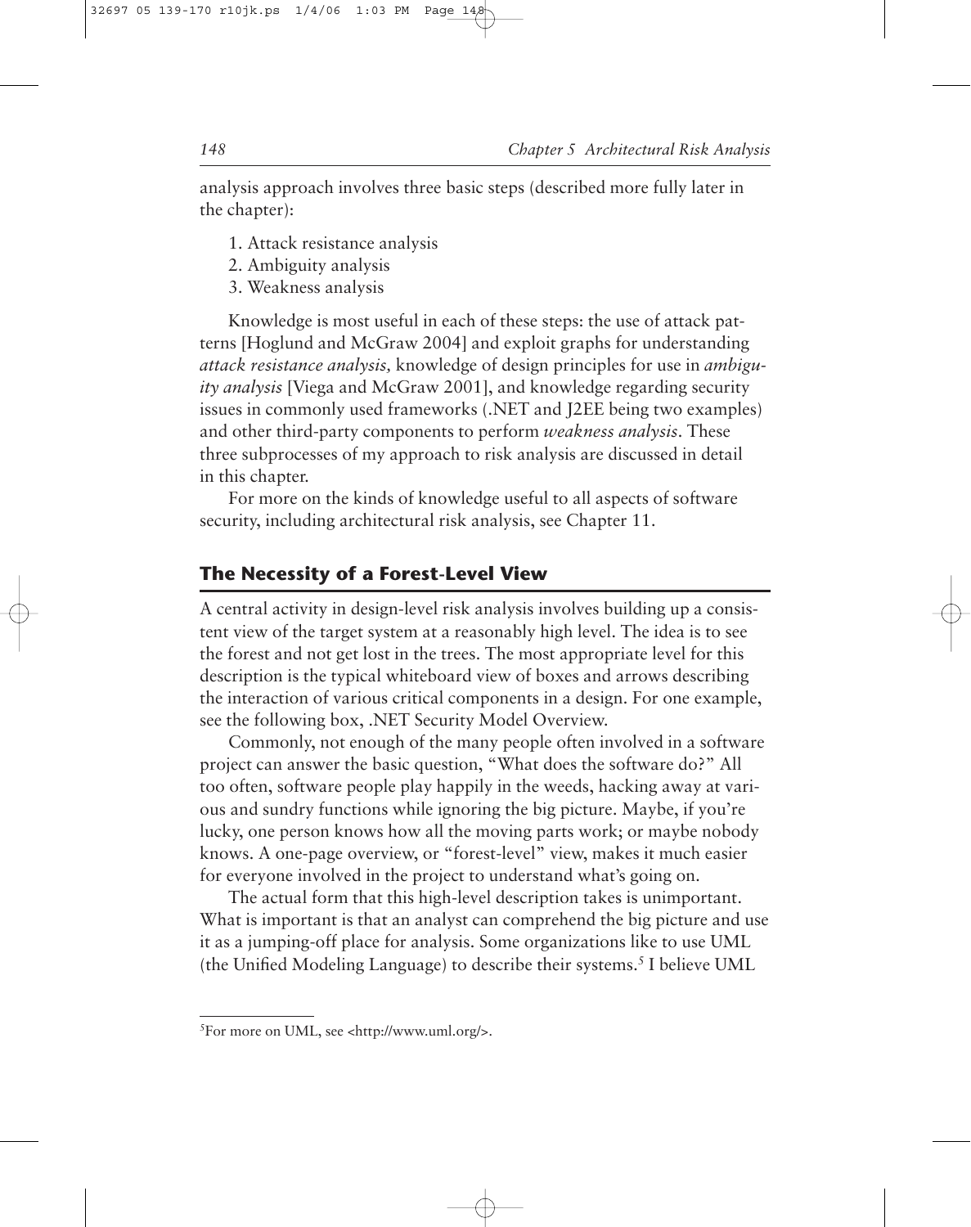analysis approach involves three basic steps (described more fully later in the chapter):

- 1. Attack resistance analysis
- 2. Ambiguity analysis
- 3. Weakness analysis

Knowledge is most useful in each of these steps: the use of attack patterns [Hoglund and McGraw 2004] and exploit graphs for understanding *attack resistance analysis,* knowledge of design principles for use in *ambiguity analysis* [Viega and McGraw 2001], and knowledge regarding security issues in commonly used frameworks (.NET and J2EE being two examples) and other third-party components to perform *weakness analysis*. These three subprocesses of my approach to risk analysis are discussed in detail in this chapter.

For more on the kinds of knowledge useful to all aspects of software security, including architectural risk analysis, see Chapter 11.

# **The Necessity of a Forest-Level View**

A central activity in design-level risk analysis involves building up a consistent view of the target system at a reasonably high level. The idea is to see the forest and not get lost in the trees. The most appropriate level for this description is the typical whiteboard view of boxes and arrows describing the interaction of various critical components in a design. For one example, see the following box, .NET Security Model Overview.

Commonly, not enough of the many people often involved in a software project can answer the basic question, "What does the software do?" All too often, software people play happily in the weeds, hacking away at various and sundry functions while ignoring the big picture. Maybe, if you're lucky, one person knows how all the moving parts work; or maybe nobody knows. A one-page overview, or "forest-level" view, makes it much easier for everyone involved in the project to understand what's going on.

The actual form that this high-level description takes is unimportant. What is important is that an analyst can comprehend the big picture and use it as a jumping-off place for analysis. Some organizations like to use UML (the Unified Modeling Language) to describe their systems.<sup>5</sup> I believe UML

<sup>5</sup>For more on UML, see <http://www.uml.org/>.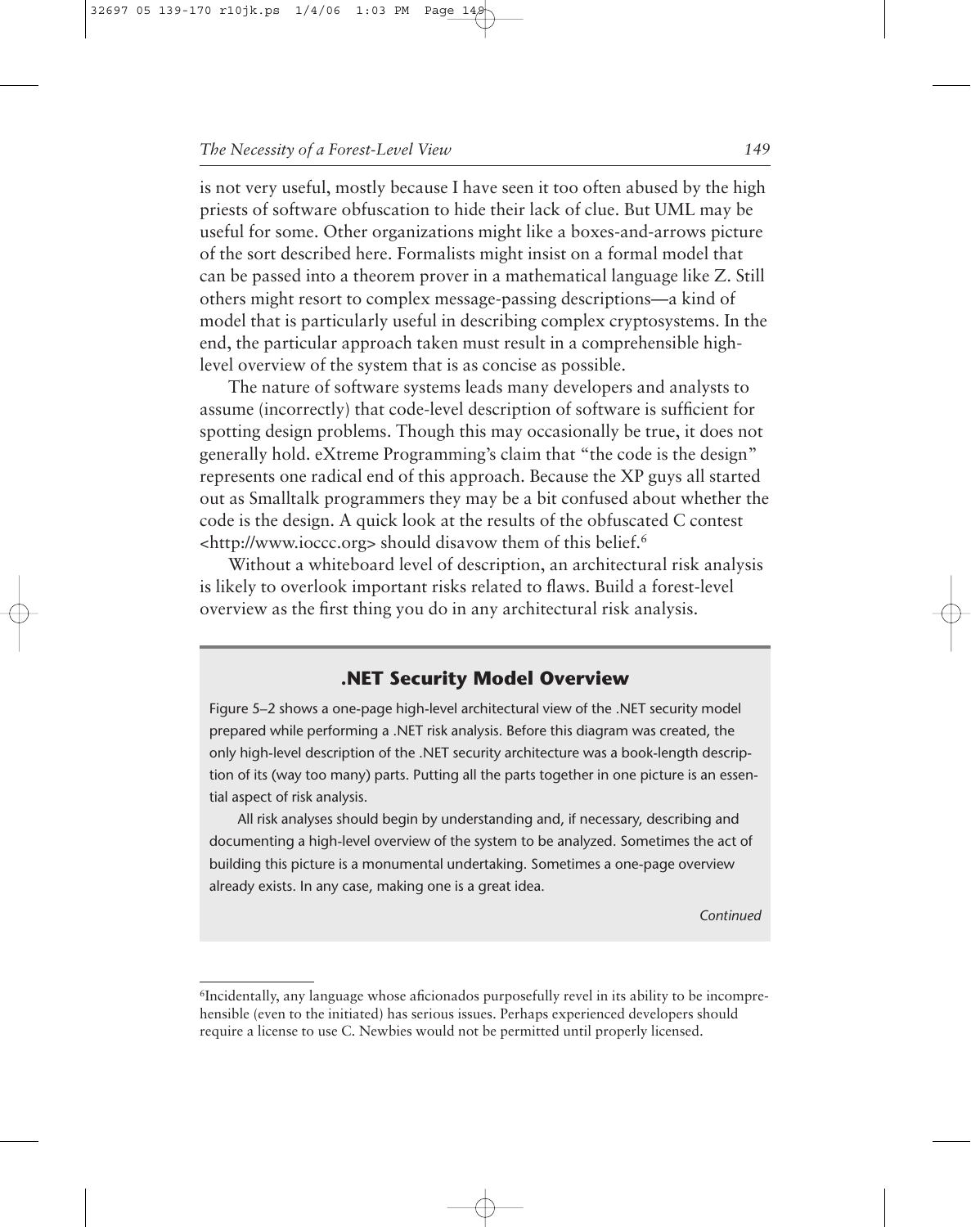## *The Necessity of a Forest-Level View 149*

is not very useful, mostly because I have seen it too often abused by the high priests of software obfuscation to hide their lack of clue. But UML may be useful for some. Other organizations might like a boxes-and-arrows picture of the sort described here. Formalists might insist on a formal model that can be passed into a theorem prover in a mathematical language like Z. Still others might resort to complex message-passing descriptions—a kind of model that is particularly useful in describing complex cryptosystems. In the end, the particular approach taken must result in a comprehensible highlevel overview of the system that is as concise as possible.

The nature of software systems leads many developers and analysts to assume (incorrectly) that code-level description of software is sufficient for spotting design problems. Though this may occasionally be true, it does not generally hold. eXtreme Programming's claim that "the code is the design" represents one radical end of this approach. Because the XP guys all started out as Smalltalk programmers they may be a bit confused about whether the code is the design. A quick look at the results of the obfuscated C contest <http://www.ioccc.org> should disavow them of this belief.6

Without a whiteboard level of description, an architectural risk analysis is likely to overlook important risks related to flaws. Build a forest-level overview as the first thing you do in any architectural risk analysis.

## **.NET Security Model Overview**

Figure 5–2 shows a one-page high-level architectural view of the .NET security model prepared while performing a .NET risk analysis. Before this diagram was created, the only high-level description of the .NET security architecture was a book-length description of its (way too many) parts. Putting all the parts together in one picture is an essential aspect of risk analysis.

All risk analyses should begin by understanding and, if necessary, describing and documenting a high-level overview of the system to be analyzed. Sometimes the act of building this picture is a monumental undertaking. Sometimes a one-page overview already exists. In any case, making one is a great idea.

*Continued*

<sup>6</sup>Incidentally, any language whose aficionados purposefully revel in its ability to be incomprehensible (even to the initiated) has serious issues. Perhaps experienced developers should require a license to use C. Newbies would not be permitted until properly licensed.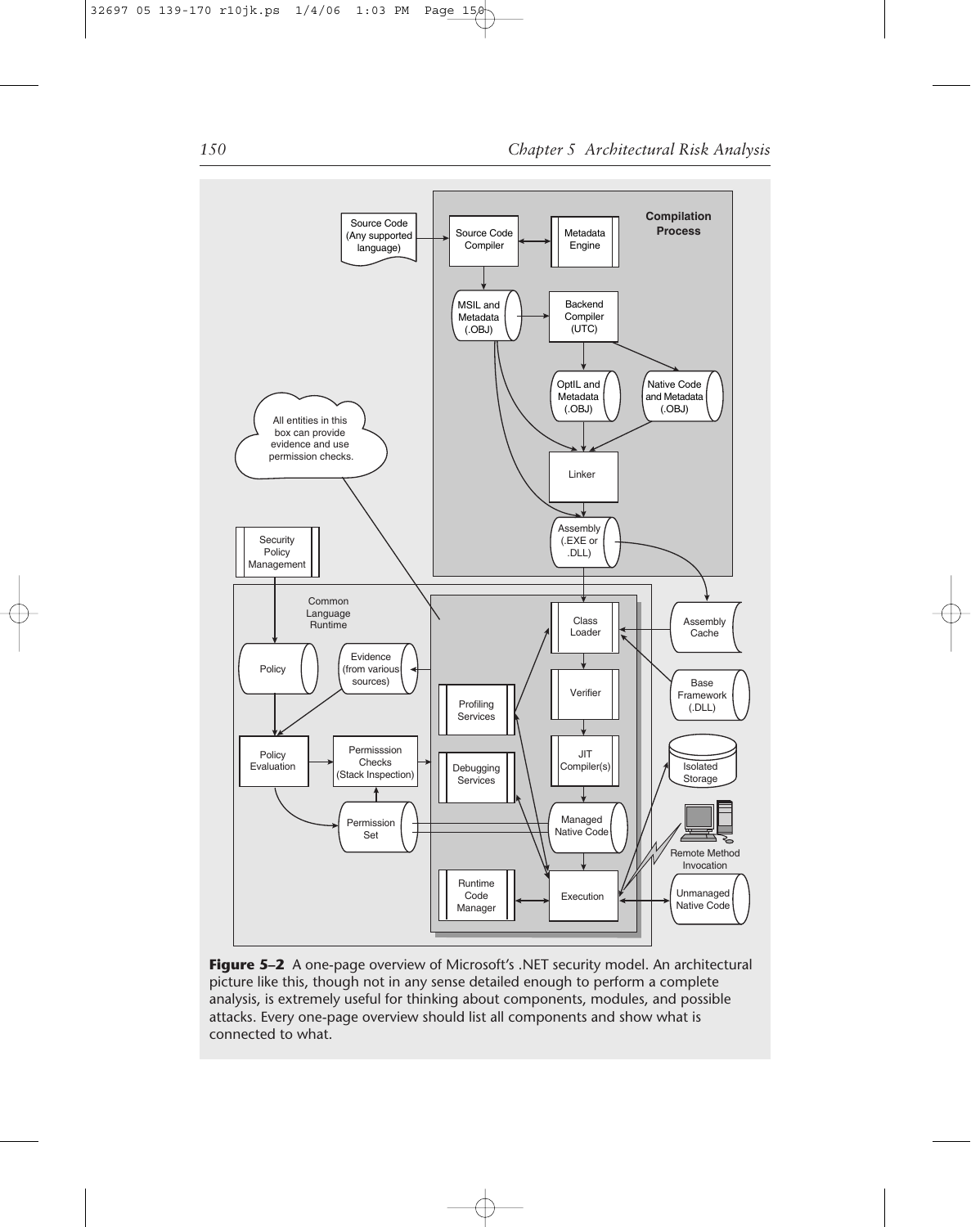

**Figure 5–2** A one-page overview of Microsoft's .NET security model. An architectural picture like this, though not in any sense detailed enough to perform a complete analysis, is extremely useful for thinking about components, modules, and possible attacks. Every one-page overview should list all components and show what is connected to what.

*150 Chapter 5 Architectural Risk Analysis*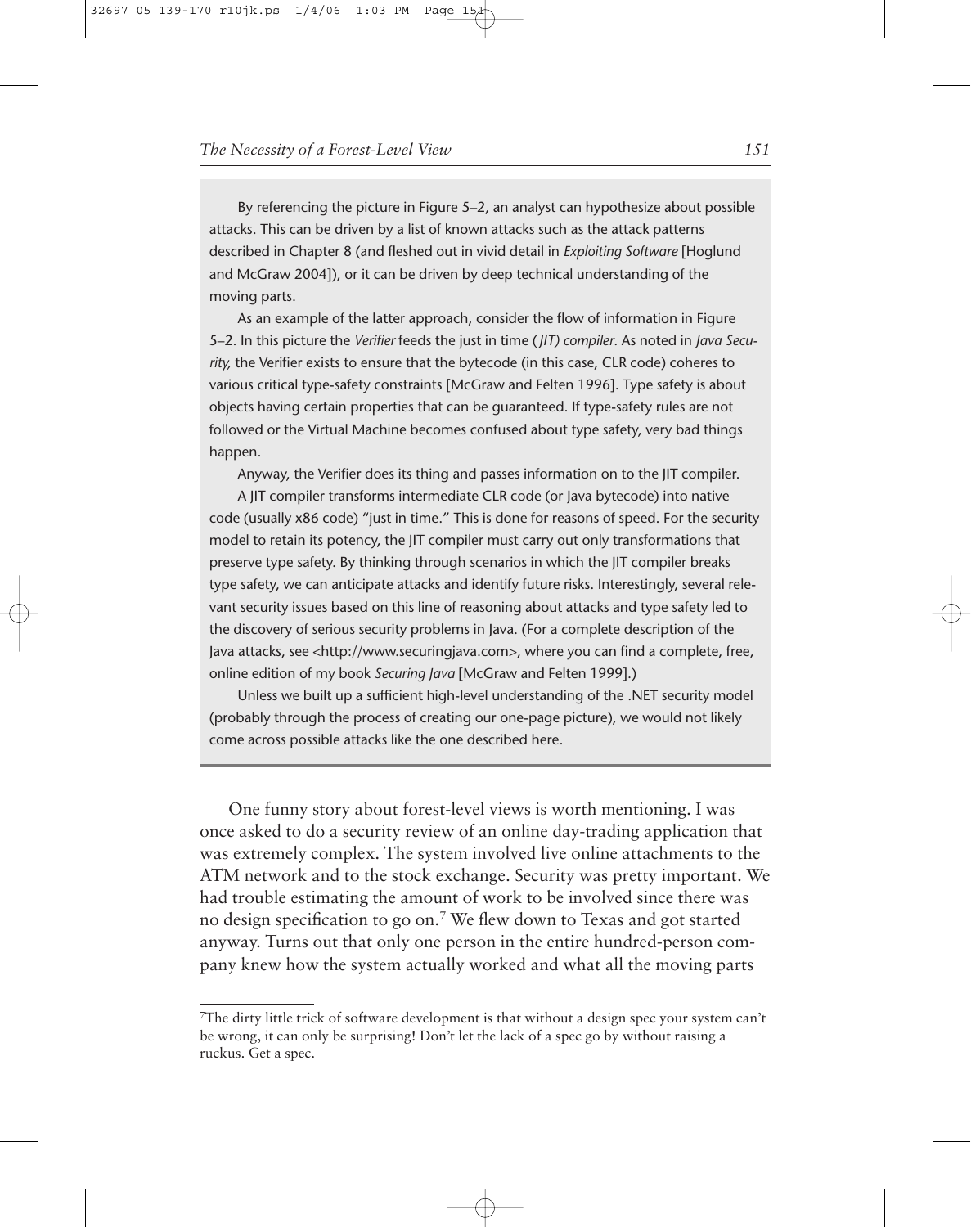#### *The Necessity of a Forest-Level View 151*

By referencing the picture in Figure 5–2, an analyst can hypothesize about possible attacks. This can be driven by a list of known attacks such as the attack patterns described in Chapter 8 (and fleshed out in vivid detail in *Exploiting Software* [Hoglund and McGraw 2004]), or it can be driven by deep technical understanding of the moving parts.

As an example of the latter approach, consider the flow of information in Figure 5–2. In this picture the *Verifier* feeds the just in time (*JIT) compiler*. As noted in *Java Security,* the Verifier exists to ensure that the bytecode (in this case, CLR code) coheres to various critical type-safety constraints [McGraw and Felten 1996]. Type safety is about objects having certain properties that can be guaranteed. If type-safety rules are not followed or the Virtual Machine becomes confused about type safety, very bad things happen.

Anyway, the Verifier does its thing and passes information on to the JIT compiler.

A JIT compiler transforms intermediate CLR code (or Java bytecode) into native code (usually x86 code) "just in time." This is done for reasons of speed. For the security model to retain its potency, the JIT compiler must carry out only transformations that preserve type safety. By thinking through scenarios in which the JIT compiler breaks type safety, we can anticipate attacks and identify future risks. Interestingly, several relevant security issues based on this line of reasoning about attacks and type safety led to the discovery of serious security problems in Java. (For a complete description of the Java attacks, see <http://www.securingjava.com>, where you can find a complete, free, online edition of my book *Securing Java* [McGraw and Felten 1999].)

Unless we built up a sufficient high-level understanding of the .NET security model (probably through the process of creating our one-page picture), we would not likely come across possible attacks like the one described here.

One funny story about forest-level views is worth mentioning. I was once asked to do a security review of an online day-trading application that was extremely complex. The system involved live online attachments to the ATM network and to the stock exchange. Security was pretty important. We had trouble estimating the amount of work to be involved since there was no design specification to go on.7 We flew down to Texas and got started anyway. Turns out that only one person in the entire hundred-person company knew how the system actually worked and what all the moving parts

<sup>7</sup>The dirty little trick of software development is that without a design spec your system can't be wrong, it can only be surprising! Don't let the lack of a spec go by without raising a ruckus. Get a spec.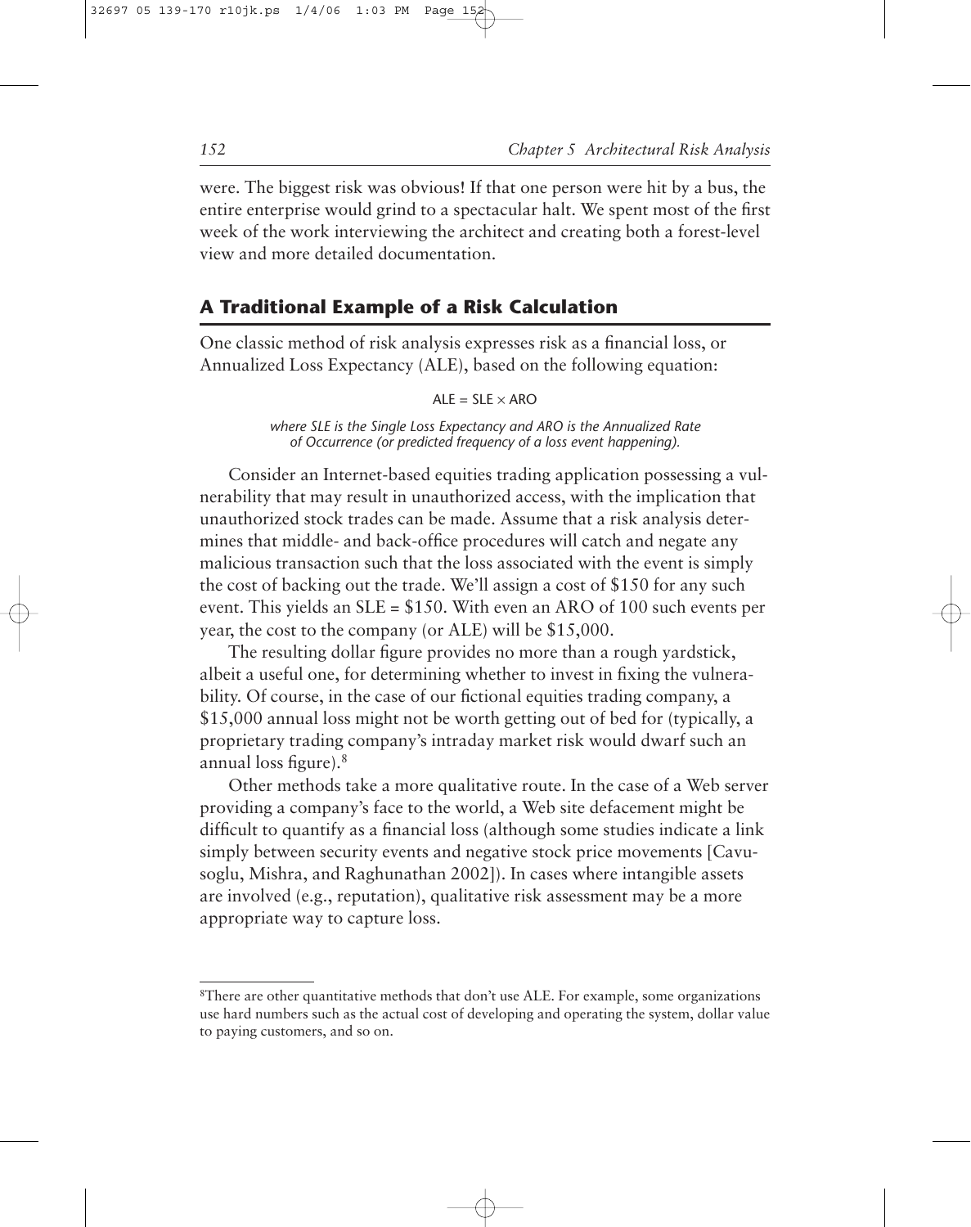were. The biggest risk was obvious! If that one person were hit by a bus, the entire enterprise would grind to a spectacular halt. We spent most of the first week of the work interviewing the architect and creating both a forest-level view and more detailed documentation.

# **A Traditional Example of a Risk Calculation**

One classic method of risk analysis expresses risk as a financial loss, or Annualized Loss Expectancy (ALE), based on the following equation:

$$
ALE = SLE \times ARO
$$

*where SLE is the Single Loss Expectancy and ARO is the Annualized Rate of Occurrence (or predicted frequency of a loss event happening).*

Consider an Internet-based equities trading application possessing a vulnerability that may result in unauthorized access, with the implication that unauthorized stock trades can be made. Assume that a risk analysis determines that middle- and back-office procedures will catch and negate any malicious transaction such that the loss associated with the event is simply the cost of backing out the trade. We'll assign a cost of \$150 for any such event. This yields an SLE = \$150. With even an ARO of 100 such events per year, the cost to the company (or ALE) will be \$15,000.

The resulting dollar figure provides no more than a rough yardstick, albeit a useful one, for determining whether to invest in fixing the vulnerability. Of course, in the case of our fictional equities trading company, a \$15,000 annual loss might not be worth getting out of bed for (typically, a proprietary trading company's intraday market risk would dwarf such an annual loss figure).8

Other methods take a more qualitative route. In the case of a Web server providing a company's face to the world, a Web site defacement might be difficult to quantify as a financial loss (although some studies indicate a link simply between security events and negative stock price movements [Cavusoglu, Mishra, and Raghunathan 2002]). In cases where intangible assets are involved (e.g., reputation), qualitative risk assessment may be a more appropriate way to capture loss.

<sup>8</sup>There are other quantitative methods that don't use ALE. For example, some organizations use hard numbers such as the actual cost of developing and operating the system, dollar value to paying customers, and so on.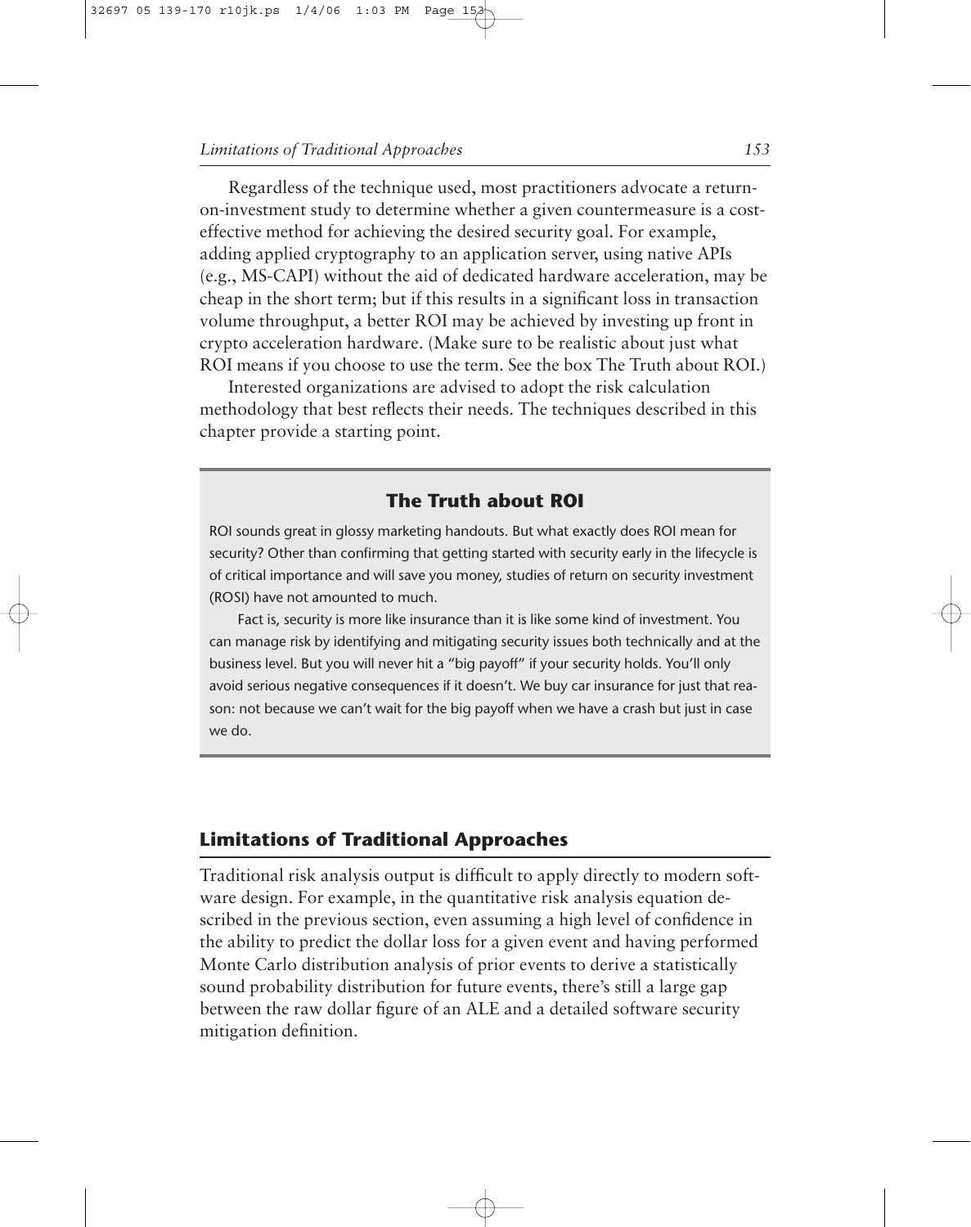#### *Limitations of Traditional Approaches 153*

Regardless of the technique used, most practitioners advocate a returnon-investment study to determine whether a given countermeasure is a costeffective method for achieving the desired security goal. For example, adding applied cryptography to an application server, using native APIs (e.g., MS-CAPI) without the aid of dedicated hardware acceleration, may be cheap in the short term; but if this results in a significant loss in transaction volume throughput, a better ROI may be achieved by investing up front in crypto acceleration hardware. (Make sure to be realistic about just what ROI means if you choose to use the term. See the box The Truth about ROI.)

Interested organizations are advised to adopt the risk calculation methodology that best reflects their needs. The techniques described in this chapter provide a starting point.

## **The Truth about ROI**

ROI sounds great in glossy marketing handouts. But what exactly does ROI mean for security? Other than confirming that getting started with security early in the lifecycle is of critical importance and will save you money, studies of return on security investment (ROSI) have not amounted to much.

Fact is, security is more like insurance than it is like some kind of investment. You can manage risk by identifying and mitigating security issues both technically and at the business level. But you will never hit a "big payoff" if your security holds. You'll only avoid serious negative consequences if it doesn't. We buy car insurance for just that reason: not because we can't wait for the big payoff when we have a crash but just in case we do.

# **Limitations of Traditional Approaches**

Traditional risk analysis output is difficult to apply directly to modern software design. For example, in the quantitative risk analysis equation described in the previous section, even assuming a high level of confidence in the ability to predict the dollar loss for a given event and having performed Monte Carlo distribution analysis of prior events to derive a statistically sound probability distribution for future events, there's still a large gap between the raw dollar figure of an ALE and a detailed software security mitigation definition.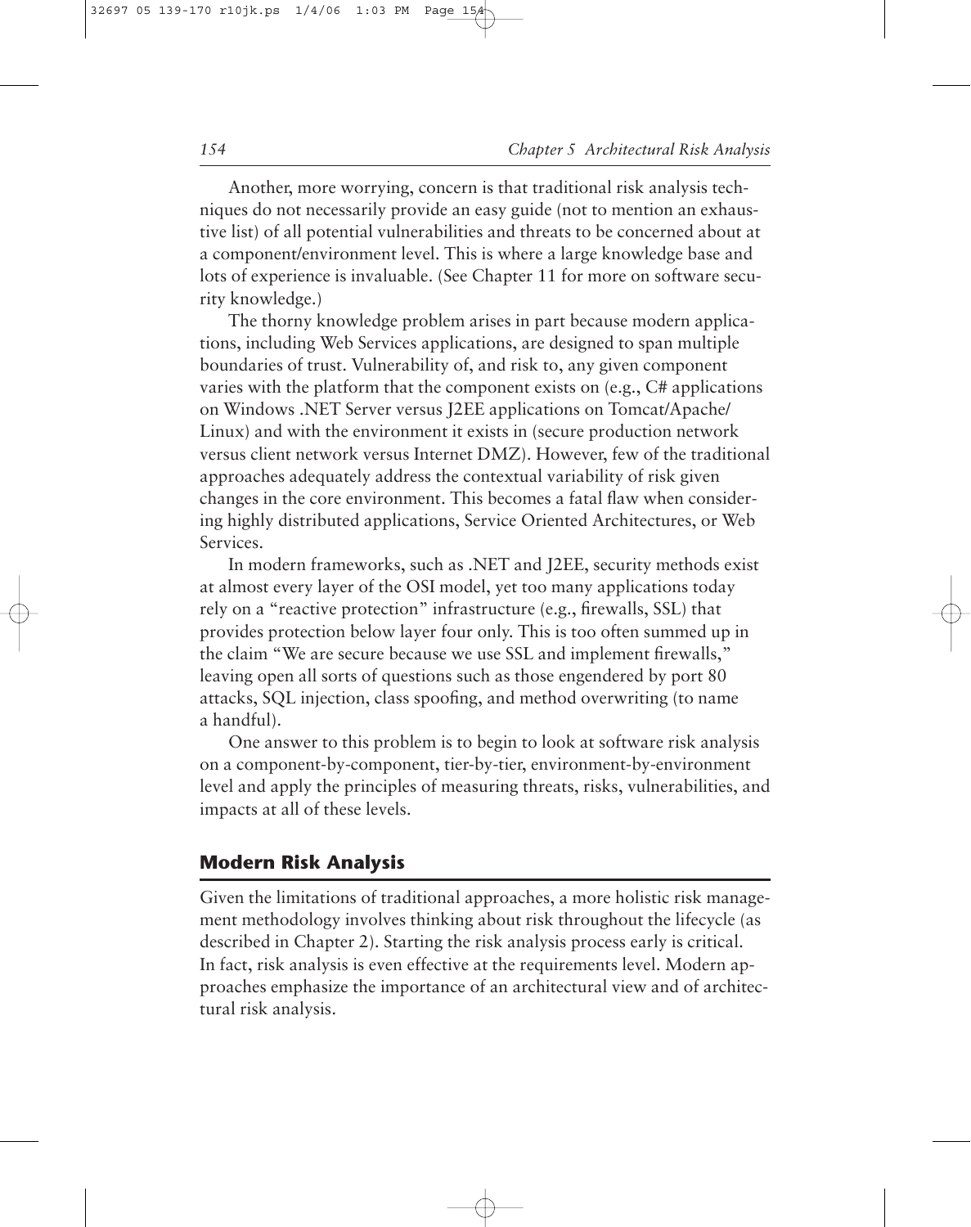Another, more worrying, concern is that traditional risk analysis techniques do not necessarily provide an easy guide (not to mention an exhaustive list) of all potential vulnerabilities and threats to be concerned about at a component/environment level. This is where a large knowledge base and lots of experience is invaluable. (See Chapter 11 for more on software security knowledge.)

The thorny knowledge problem arises in part because modern applications, including Web Services applications, are designed to span multiple boundaries of trust. Vulnerability of, and risk to, any given component varies with the platform that the component exists on (e.g., C# applications on Windows .NET Server versus J2EE applications on Tomcat/Apache/ Linux) and with the environment it exists in (secure production network versus client network versus Internet DMZ). However, few of the traditional approaches adequately address the contextual variability of risk given changes in the core environment. This becomes a fatal flaw when considering highly distributed applications, Service Oriented Architectures, or Web Services.

In modern frameworks, such as .NET and J2EE, security methods exist at almost every layer of the OSI model, yet too many applications today rely on a "reactive protection" infrastructure (e.g., firewalls, SSL) that provides protection below layer four only. This is too often summed up in the claim "We are secure because we use SSL and implement firewalls," leaving open all sorts of questions such as those engendered by port 80 attacks, SQL injection, class spoofing, and method overwriting (to name a handful).

One answer to this problem is to begin to look at software risk analysis on a component-by-component, tier-by-tier, environment-by-environment level and apply the principles of measuring threats, risks, vulnerabilities, and impacts at all of these levels.

# **Modern Risk Analysis**

Given the limitations of traditional approaches, a more holistic risk management methodology involves thinking about risk throughout the lifecycle (as described in Chapter 2). Starting the risk analysis process early is critical. In fact, risk analysis is even effective at the requirements level. Modern approaches emphasize the importance of an architectural view and of architectural risk analysis.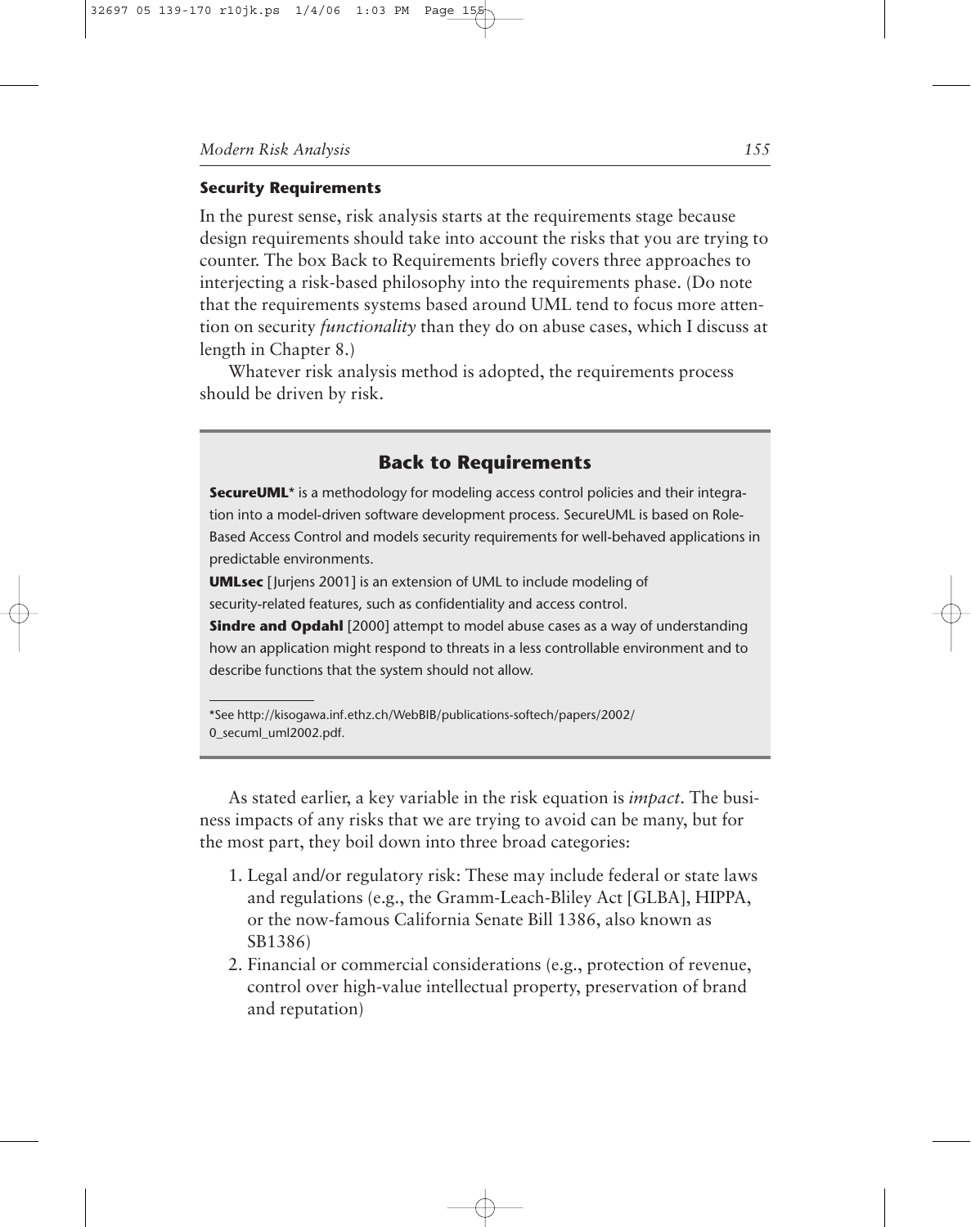*Modern Risk Analysis 155*

## **Security Requirements**

In the purest sense, risk analysis starts at the requirements stage because design requirements should take into account the risks that you are trying to counter. The box Back to Requirements briefly covers three approaches to interjecting a risk-based philosophy into the requirements phase. (Do note that the requirements systems based around UML tend to focus more attention on security *functionality* than they do on abuse cases, which I discuss at length in Chapter 8.)

Whatever risk analysis method is adopted, the requirements process should be driven by risk.

## **Back to Requirements**

**SecureUML**\* is a methodology for modeling access control policies and their integration into a model-driven software development process. SecureUML is based on Role-Based Access Control and models security requirements for well-behaved applications in predictable environments.

**UMLsec** [Jurjens 2001] is an extension of UML to include modeling of

security-related features, such as confidentiality and access control.

**Sindre and Opdahl** [2000] attempt to model abuse cases as a way of understanding how an application might respond to threats in a less controllable environment and to describe functions that the system should not allow.

\*See http://kisogawa.inf.ethz.ch/WebBIB/publications-softech/papers/2002/ 0\_secuml\_uml2002.pdf.

As stated earlier, a key variable in the risk equation is *impact*. The business impacts of any risks that we are trying to avoid can be many, but for the most part, they boil down into three broad categories:

- 1. Legal and/or regulatory risk: These may include federal or state laws and regulations (e.g., the Gramm-Leach-Bliley Act [GLBA], HIPPA, or the now-famous California Senate Bill 1386, also known as SB1386)
- 2. Financial or commercial considerations (e.g., protection of revenue, control over high-value intellectual property, preservation of brand and reputation)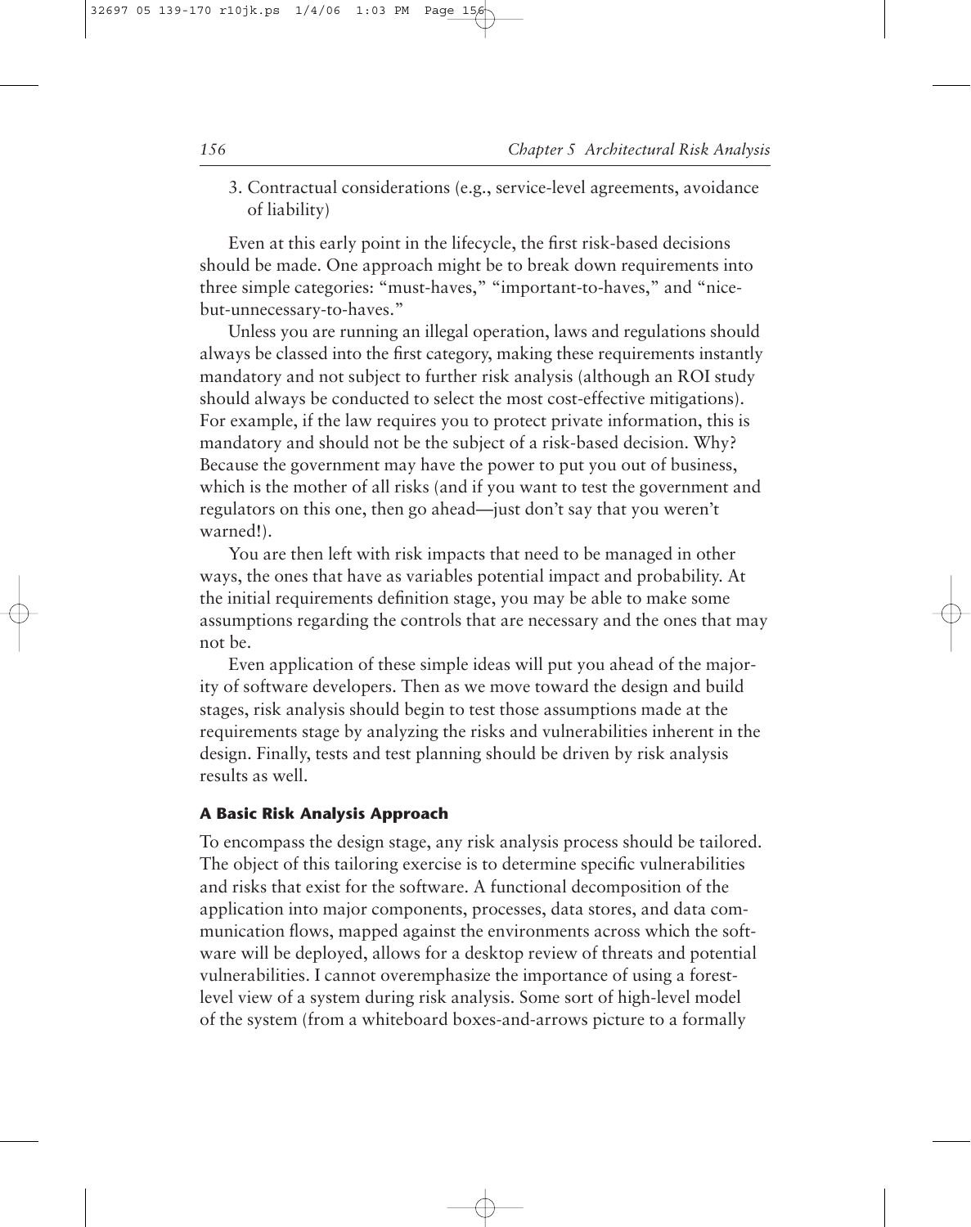3. Contractual considerations (e.g., service-level agreements, avoidance of liability)

Even at this early point in the lifecycle, the first risk-based decisions should be made. One approach might be to break down requirements into three simple categories: "must-haves," "important-to-haves," and "nicebut-unnecessary-to-haves."

Unless you are running an illegal operation, laws and regulations should always be classed into the first category, making these requirements instantly mandatory and not subject to further risk analysis (although an ROI study should always be conducted to select the most cost-effective mitigations). For example, if the law requires you to protect private information, this is mandatory and should not be the subject of a risk-based decision. Why? Because the government may have the power to put you out of business, which is the mother of all risks (and if you want to test the government and regulators on this one, then go ahead—just don't say that you weren't warned!).

You are then left with risk impacts that need to be managed in other ways, the ones that have as variables potential impact and probability. At the initial requirements definition stage, you may be able to make some assumptions regarding the controls that are necessary and the ones that may not be.

Even application of these simple ideas will put you ahead of the majority of software developers. Then as we move toward the design and build stages, risk analysis should begin to test those assumptions made at the requirements stage by analyzing the risks and vulnerabilities inherent in the design. Finally, tests and test planning should be driven by risk analysis results as well.

## **A Basic Risk Analysis Approach**

To encompass the design stage, any risk analysis process should be tailored. The object of this tailoring exercise is to determine specific vulnerabilities and risks that exist for the software. A functional decomposition of the application into major components, processes, data stores, and data communication flows, mapped against the environments across which the software will be deployed, allows for a desktop review of threats and potential vulnerabilities. I cannot overemphasize the importance of using a forestlevel view of a system during risk analysis. Some sort of high-level model of the system (from a whiteboard boxes-and-arrows picture to a formally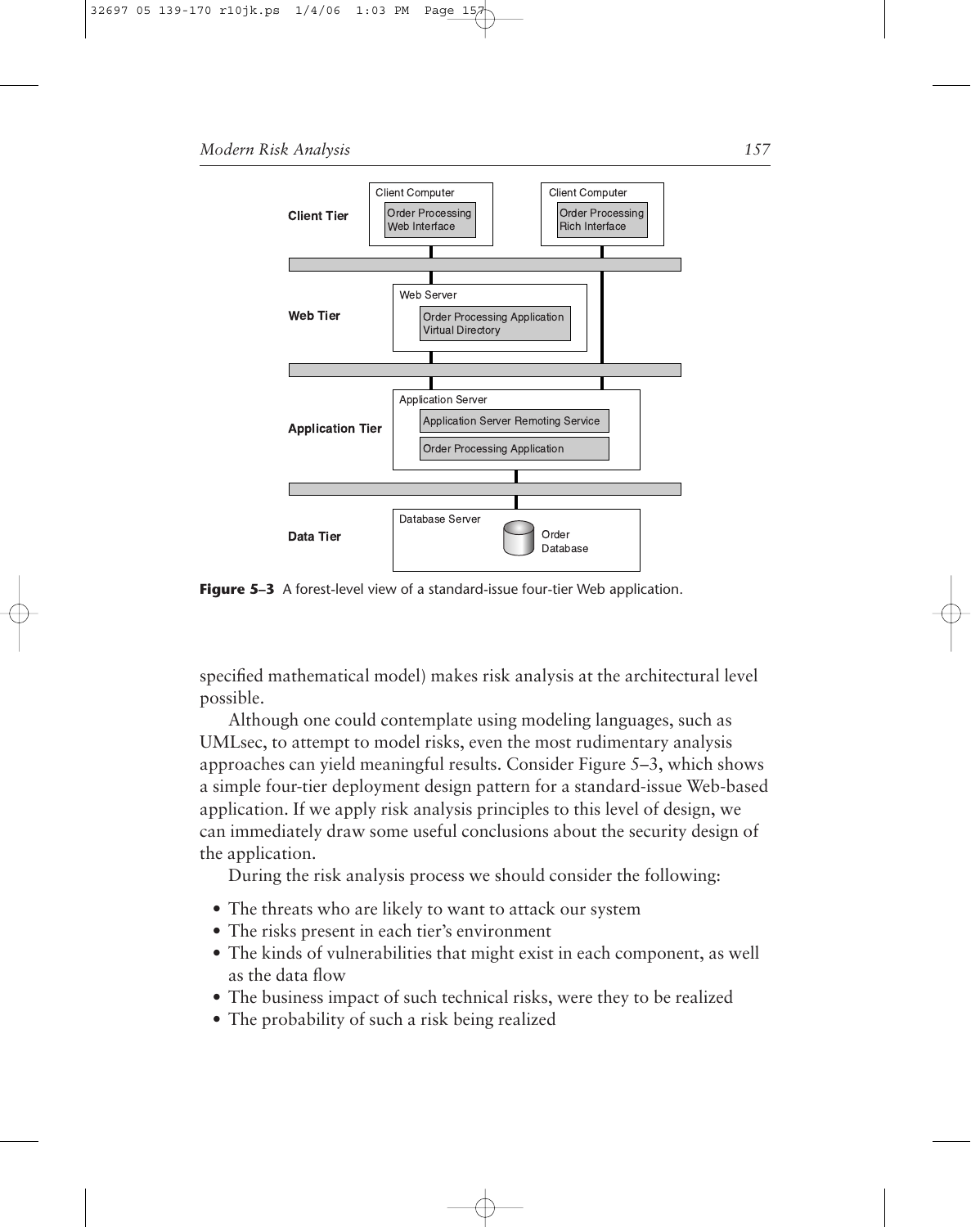



**Figure 5–3** A forest-level view of a standard-issue four-tier Web application.

specified mathematical model) makes risk analysis at the architectural level possible.

Although one could contemplate using modeling languages, such as UMLsec, to attempt to model risks, even the most rudimentary analysis approaches can yield meaningful results. Consider Figure 5–3, which shows a simple four-tier deployment design pattern for a standard-issue Web-based application. If we apply risk analysis principles to this level of design, we can immediately draw some useful conclusions about the security design of the application.

During the risk analysis process we should consider the following:

- The threats who are likely to want to attack our system
- The risks present in each tier's environment
- The kinds of vulnerabilities that might exist in each component, as well as the data flow
- The business impact of such technical risks, were they to be realized
- The probability of such a risk being realized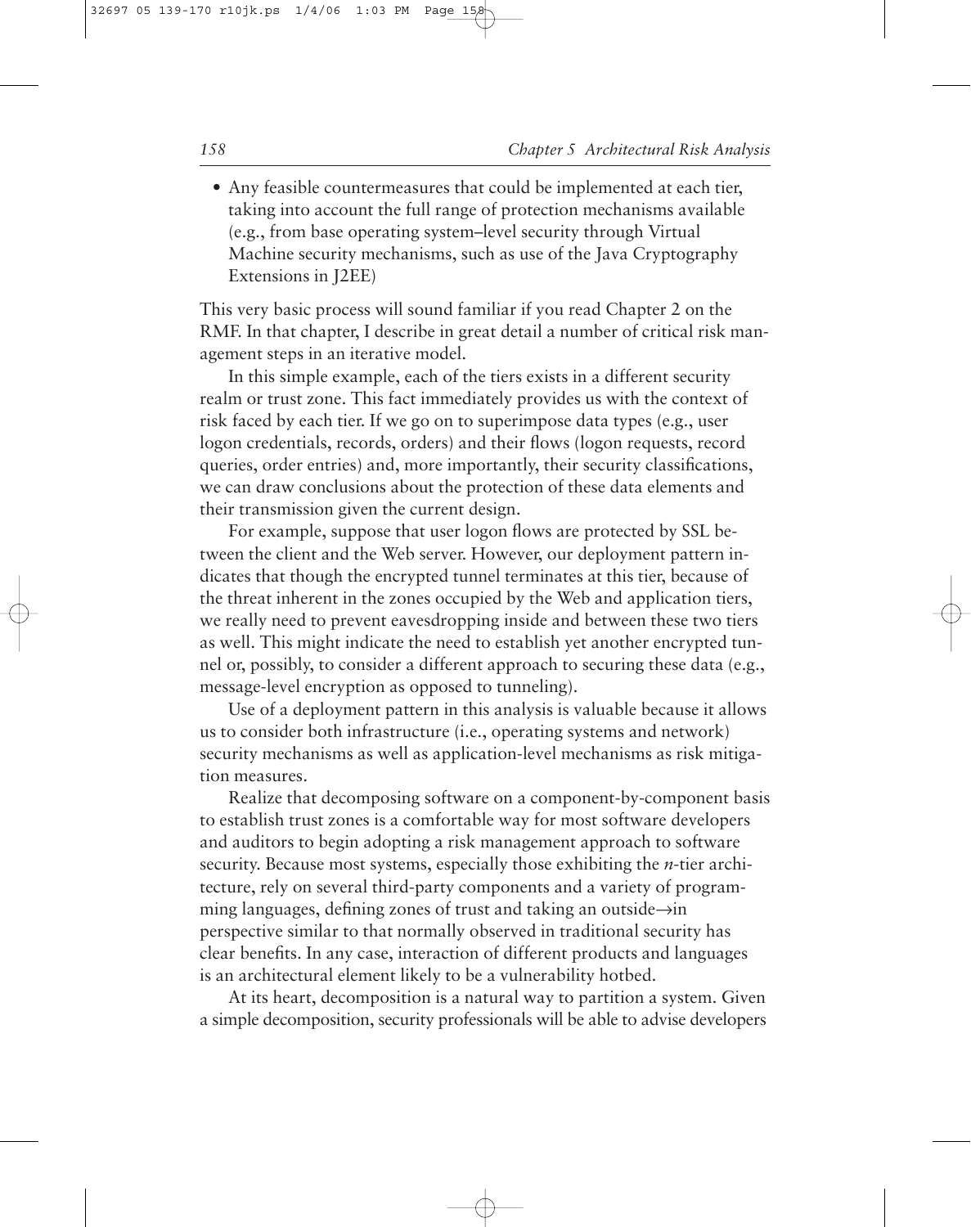• Any feasible countermeasures that could be implemented at each tier, taking into account the full range of protection mechanisms available (e.g., from base operating system–level security through Virtual Machine security mechanisms, such as use of the Java Cryptography Extensions in J2EE)

This very basic process will sound familiar if you read Chapter 2 on the RMF. In that chapter, I describe in great detail a number of critical risk management steps in an iterative model.

In this simple example, each of the tiers exists in a different security realm or trust zone. This fact immediately provides us with the context of risk faced by each tier. If we go on to superimpose data types (e.g., user logon credentials, records, orders) and their flows (logon requests, record queries, order entries) and, more importantly, their security classifications, we can draw conclusions about the protection of these data elements and their transmission given the current design.

For example, suppose that user logon flows are protected by SSL between the client and the Web server. However, our deployment pattern indicates that though the encrypted tunnel terminates at this tier, because of the threat inherent in the zones occupied by the Web and application tiers, we really need to prevent eavesdropping inside and between these two tiers as well. This might indicate the need to establish yet another encrypted tunnel or, possibly, to consider a different approach to securing these data (e.g., message-level encryption as opposed to tunneling).

Use of a deployment pattern in this analysis is valuable because it allows us to consider both infrastructure (i.e., operating systems and network) security mechanisms as well as application-level mechanisms as risk mitigation measures.

Realize that decomposing software on a component-by-component basis to establish trust zones is a comfortable way for most software developers and auditors to begin adopting a risk management approach to software security. Because most systems, especially those exhibiting the *n*-tier architecture, rely on several third-party components and a variety of programming languages, defining zones of trust and taking an outside→in perspective similar to that normally observed in traditional security has clear benefits. In any case, interaction of different products and languages is an architectural element likely to be a vulnerability hotbed.

At its heart, decomposition is a natural way to partition a system. Given a simple decomposition, security professionals will be able to advise developers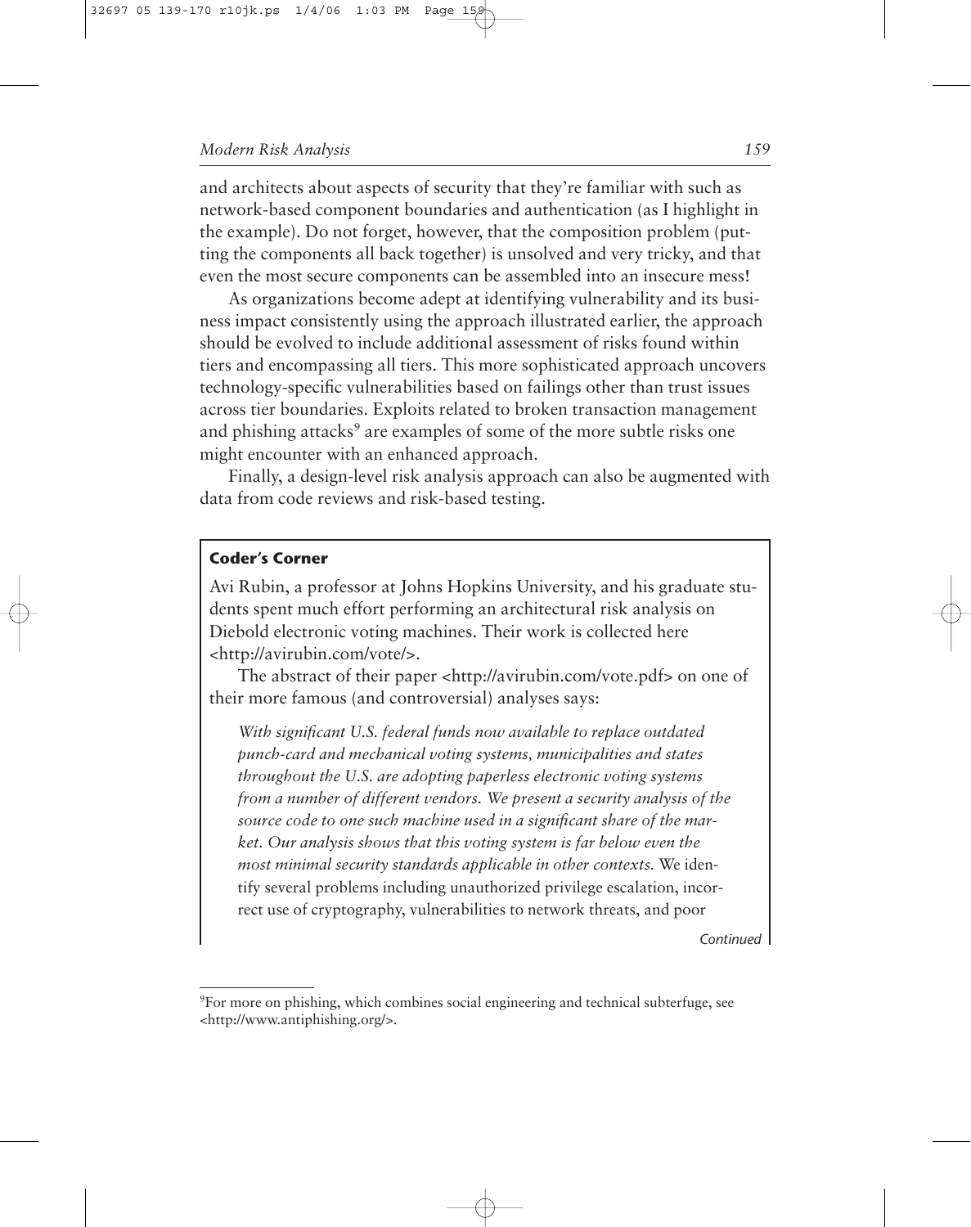#### *Modern Risk Analysis 159*

and architects about aspects of security that they're familiar with such as network-based component boundaries and authentication (as I highlight in the example). Do not forget, however, that the composition problem (putting the components all back together) is unsolved and very tricky, and that even the most secure components can be assembled into an insecure mess!

As organizations become adept at identifying vulnerability and its business impact consistently using the approach illustrated earlier, the approach should be evolved to include additional assessment of risks found within tiers and encompassing all tiers. This more sophisticated approach uncovers technology-specific vulnerabilities based on failings other than trust issues across tier boundaries. Exploits related to broken transaction management and phishing attacks<sup>9</sup> are examples of some of the more subtle risks one might encounter with an enhanced approach.

Finally, a design-level risk analysis approach can also be augmented with data from code reviews and risk-based testing.

## **Coder's Corner**

Avi Rubin, a professor at Johns Hopkins University, and his graduate students spent much effort performing an architectural risk analysis on Diebold electronic voting machines. Their work is collected here <http://avirubin.com/vote/>.

The abstract of their paper <http://avirubin.com/vote.pdf> on one of their more famous (and controversial) analyses says:

*With significant U.S. federal funds now available to replace outdated punch-card and mechanical voting systems, municipalities and states throughout the U.S. are adopting paperless electronic voting systems from a number of different vendors. We present a security analysis of the source code to one such machine used in a significant share of the market. Our analysis shows that this voting system is far below even the most minimal security standards applicable in other contexts.* We identify several problems including unauthorized privilege escalation, incorrect use of cryptography, vulnerabilities to network threats, and poor

*Continued*

<sup>9</sup>For more on phishing, which combines social engineering and technical subterfuge, see <http://www.antiphishing.org/>.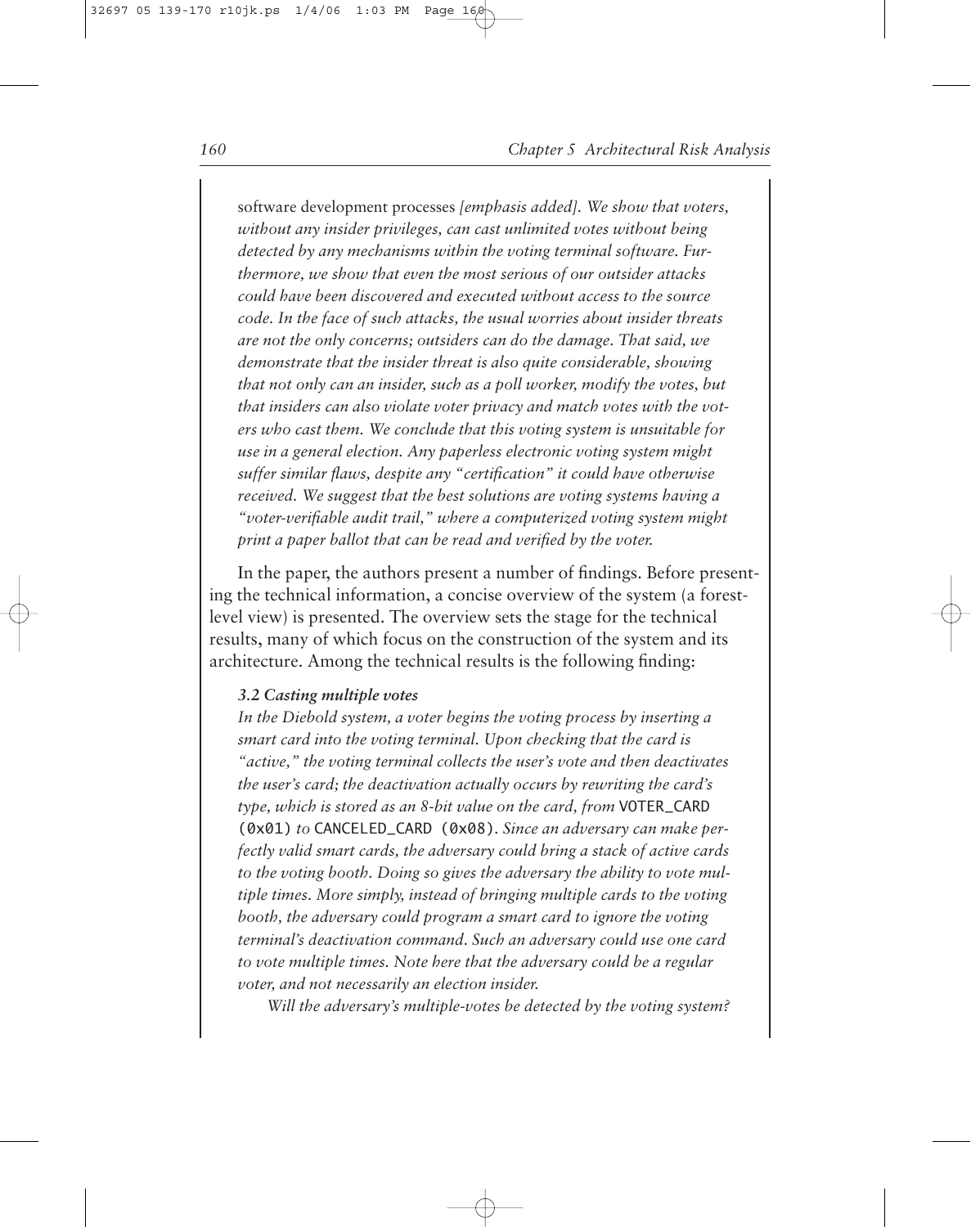software development processes *[emphasis added]. We show that voters, without any insider privileges, can cast unlimited votes without being detected by any mechanisms within the voting terminal software. Furthermore, we show that even the most serious of our outsider attacks could have been discovered and executed without access to the source code. In the face of such attacks, the usual worries about insider threats are not the only concerns; outsiders can do the damage. That said, we demonstrate that the insider threat is also quite considerable, showing that not only can an insider, such as a poll worker, modify the votes, but that insiders can also violate voter privacy and match votes with the voters who cast them. We conclude that this voting system is unsuitable for use in a general election. Any paperless electronic voting system might suffer similar flaws, despite any "certification" it could have otherwise received. We suggest that the best solutions are voting systems having a "voter-verifiable audit trail," where a computerized voting system might print a paper ballot that can be read and verified by the voter.*

In the paper, the authors present a number of findings. Before presenting the technical information, a concise overview of the system (a forestlevel view) is presented. The overview sets the stage for the technical results, many of which focus on the construction of the system and its architecture. Among the technical results is the following finding:

## *3.2 Casting multiple votes*

*In the Diebold system, a voter begins the voting process by inserting a smart card into the voting terminal. Upon checking that the card is "active," the voting terminal collects the user's vote and then deactivates the user's card; the deactivation actually occurs by rewriting the card's type, which is stored as an 8-bit value on the card, from* VOTER\_CARD (0x01) *to* CANCELED\_CARD (0x08)*. Since an adversary can make perfectly valid smart cards, the adversary could bring a stack of active cards to the voting booth. Doing so gives the adversary the ability to vote multiple times. More simply, instead of bringing multiple cards to the voting booth, the adversary could program a smart card to ignore the voting terminal's deactivation command. Such an adversary could use one card to vote multiple times. Note here that the adversary could be a regular voter, and not necessarily an election insider.*

*Will the adversary's multiple-votes be detected by the voting system?*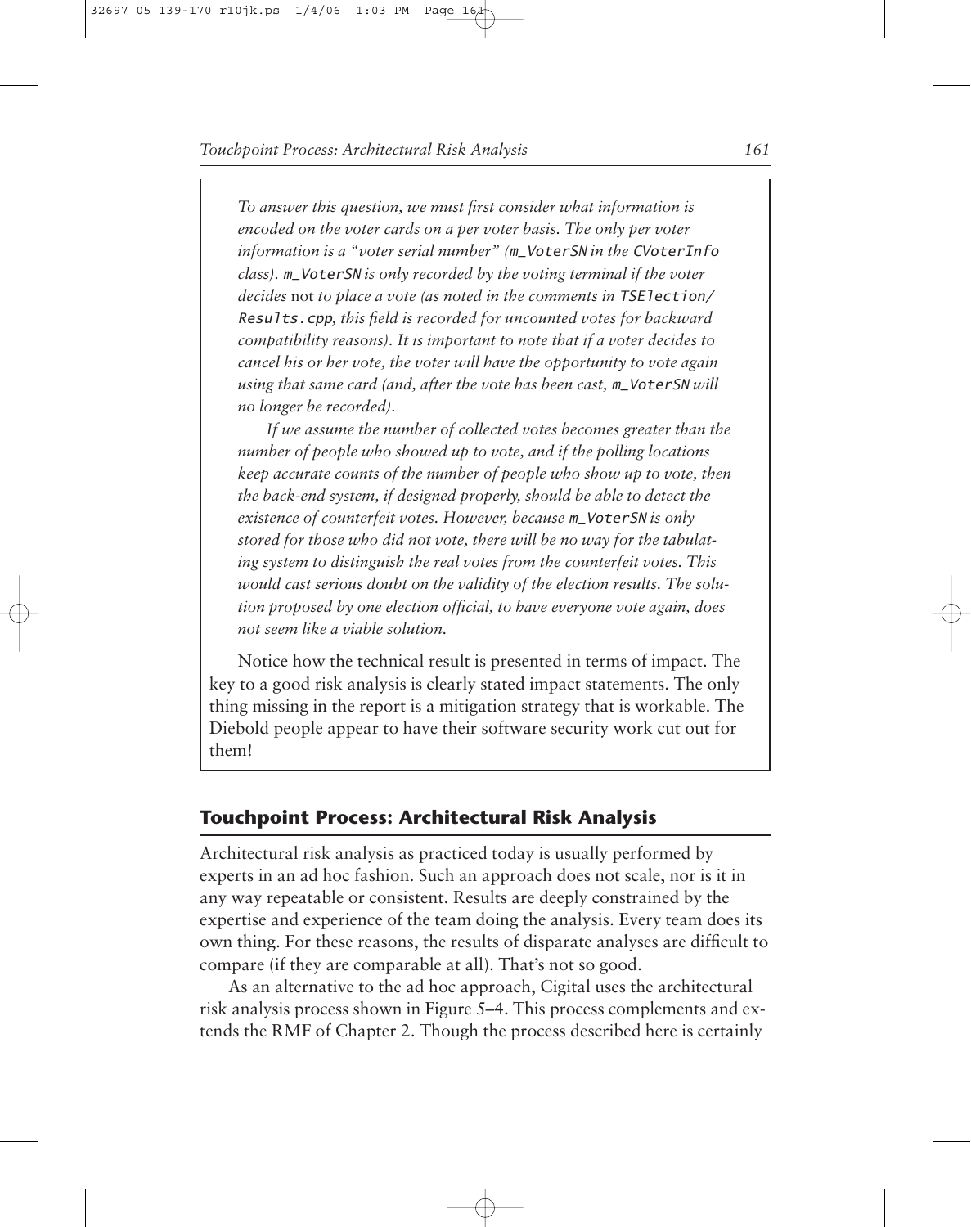#### *Touchpoint Process: Architectural Risk Analysis 161*

*To answer this question, we must first consider what information is encoded on the voter cards on a per voter basis. The only per voter information is a "voter serial number" (*m\_VoterSN *in the* CVoterInfo *class).* m\_VoterSN *is only recorded by the voting terminal if the voter decides* not *to place a vote (as noted in the comments in* TSElection/ Results.cpp*, this field is recorded for uncounted votes for backward compatibility reasons). It is important to note that if a voter decides to cancel his or her vote, the voter will have the opportunity to vote again using that same card (and, after the vote has been cast,* m\_VoterSN *will no longer be recorded).*

*If we assume the number of collected votes becomes greater than the number of people who showed up to vote, and if the polling locations keep accurate counts of the number of people who show up to vote, then the back-end system, if designed properly, should be able to detect the existence of counterfeit votes. However, because* m\_VoterSN *is only stored for those who did not vote, there will be no way for the tabulating system to distinguish the real votes from the counterfeit votes. This would cast serious doubt on the validity of the election results. The solution proposed by one election official, to have everyone vote again, does not seem like a viable solution.*

Notice how the technical result is presented in terms of impact. The key to a good risk analysis is clearly stated impact statements. The only thing missing in the report is a mitigation strategy that is workable. The Diebold people appear to have their software security work cut out for them!

# **Touchpoint Process: Architectural Risk Analysis**

Architectural risk analysis as practiced today is usually performed by experts in an ad hoc fashion. Such an approach does not scale, nor is it in any way repeatable or consistent. Results are deeply constrained by the expertise and experience of the team doing the analysis. Every team does its own thing. For these reasons, the results of disparate analyses are difficult to compare (if they are comparable at all). That's not so good.

As an alternative to the ad hoc approach, Cigital uses the architectural risk analysis process shown in Figure 5–4. This process complements and extends the RMF of Chapter 2. Though the process described here is certainly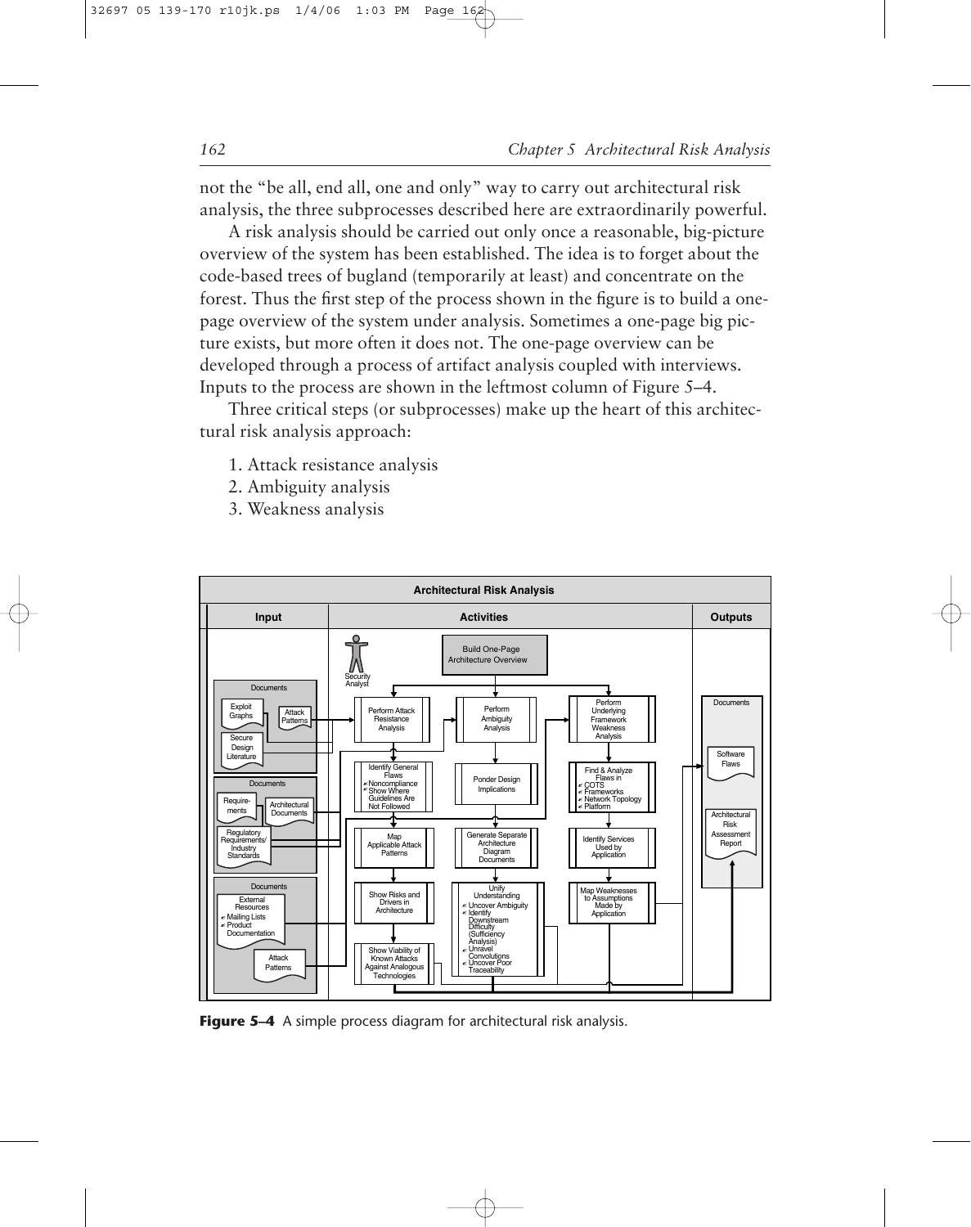not the "be all, end all, one and only" way to carry out architectural risk analysis, the three subprocesses described here are extraordinarily powerful.

A risk analysis should be carried out only once a reasonable, big-picture overview of the system has been established. The idea is to forget about the code-based trees of bugland (temporarily at least) and concentrate on the forest. Thus the first step of the process shown in the figure is to build a onepage overview of the system under analysis. Sometimes a one-page big picture exists, but more often it does not. The one-page overview can be developed through a process of artifact analysis coupled with interviews. Inputs to the process are shown in the leftmost column of Figure 5–4.

Three critical steps (or subprocesses) make up the heart of this architectural risk analysis approach:

- 1. Attack resistance analysis
- 2. Ambiguity analysis
- 3. Weakness analysis



Figure 5-4 A simple process diagram for architectural risk analysis.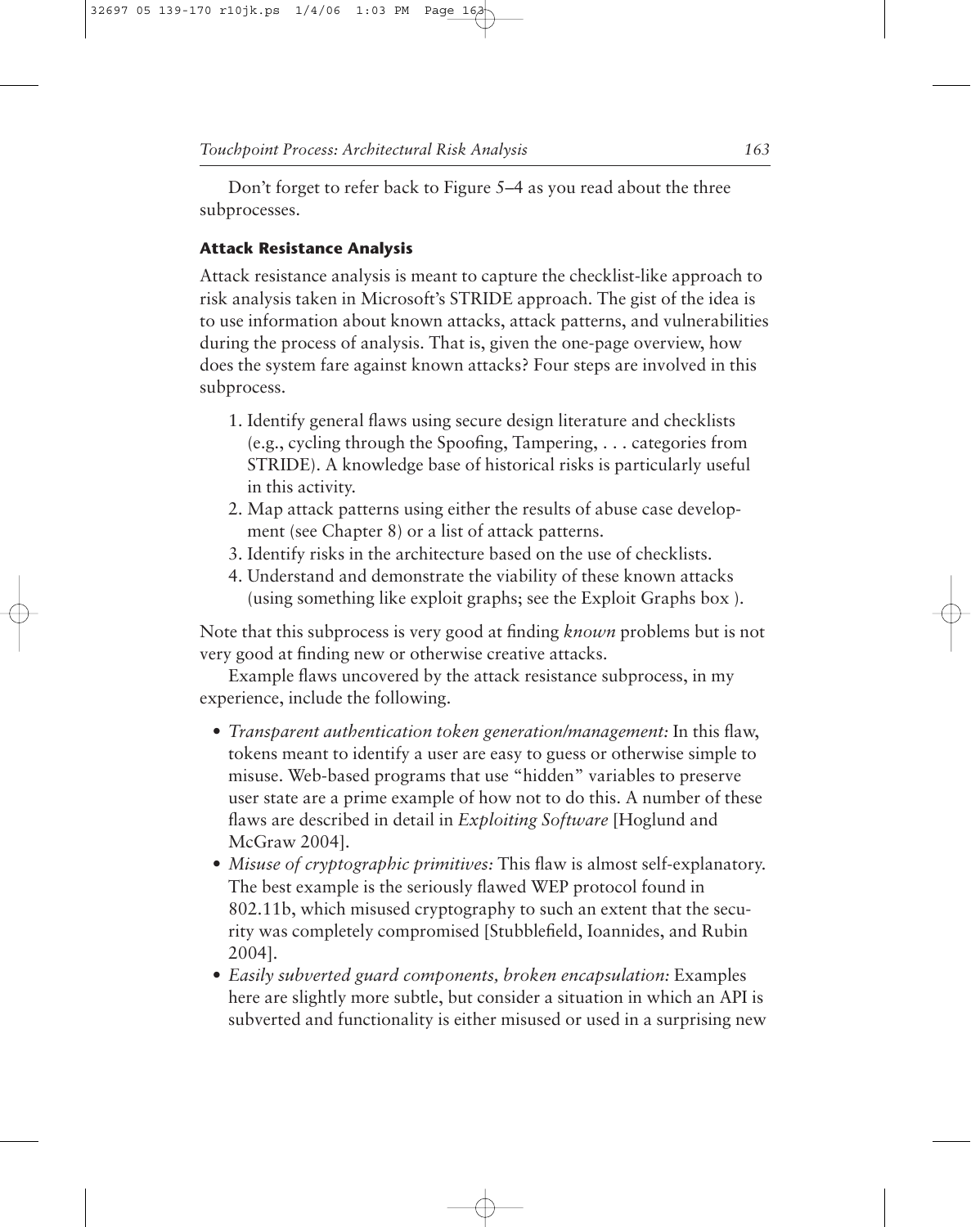*Touchpoint Process: Architectural Risk Analysis 163*

Don't forget to refer back to Figure 5–4 as you read about the three subprocesses.

# **Attack Resistance Analysis**

Attack resistance analysis is meant to capture the checklist-like approach to risk analysis taken in Microsoft's STRIDE approach. The gist of the idea is to use information about known attacks, attack patterns, and vulnerabilities during the process of analysis. That is, given the one-page overview, how does the system fare against known attacks? Four steps are involved in this subprocess.

- 1. Identify general flaws using secure design literature and checklists (e.g., cycling through the Spoofing, Tampering, . . . categories from STRIDE). A knowledge base of historical risks is particularly useful in this activity.
- 2. Map attack patterns using either the results of abuse case development (see Chapter 8) or a list of attack patterns.
- 3. Identify risks in the architecture based on the use of checklists.
- 4. Understand and demonstrate the viability of these known attacks (using something like exploit graphs; see the Exploit Graphs box ).

Note that this subprocess is very good at finding *known* problems but is not very good at finding new or otherwise creative attacks.

Example flaws uncovered by the attack resistance subprocess, in my experience, include the following.

- *Transparent authentication token generation/management:* In this flaw, tokens meant to identify a user are easy to guess or otherwise simple to misuse. Web-based programs that use "hidden" variables to preserve user state are a prime example of how not to do this. A number of these flaws are described in detail in *Exploiting Software* [Hoglund and McGraw 2004].
- *Misuse of cryptographic primitives:* This flaw is almost self-explanatory. The best example is the seriously flawed WEP protocol found in 802.11b, which misused cryptography to such an extent that the security was completely compromised [Stubblefield, Ioannides, and Rubin 2004].
- *Easily subverted guard components, broken encapsulation:* Examples here are slightly more subtle, but consider a situation in which an API is subverted and functionality is either misused or used in a surprising new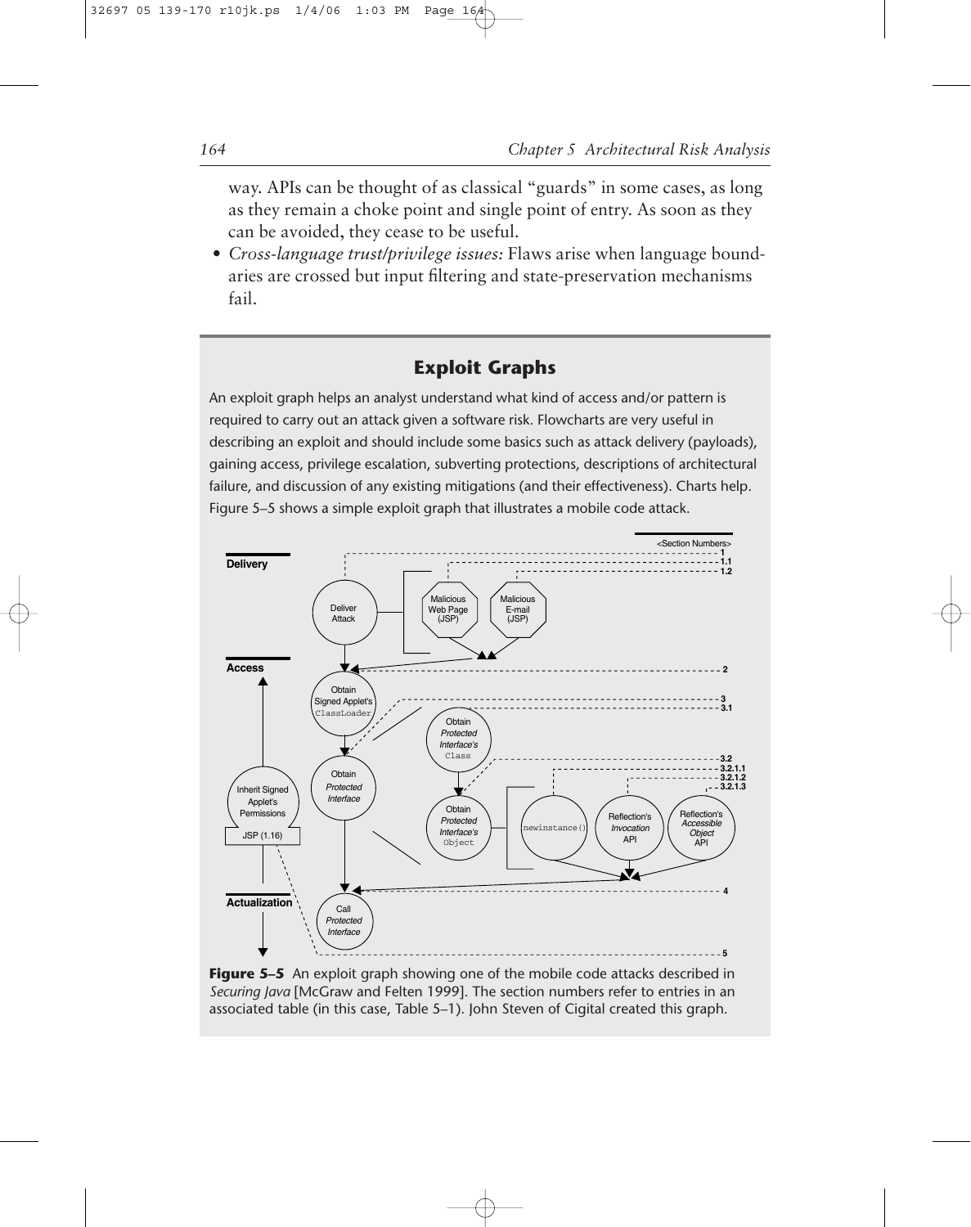way. APIs can be thought of as classical "guards" in some cases, as long as they remain a choke point and single point of entry. As soon as they can be avoided, they cease to be useful.

• *Cross-language trust/privilege issues:* Flaws arise when language boundaries are crossed but input filtering and state-preservation mechanisms fail.

# **Exploit Graphs**

An exploit graph helps an analyst understand what kind of access and/or pattern is required to carry out an attack given a software risk. Flowcharts are very useful in describing an exploit and should include some basics such as attack delivery (payloads), gaining access, privilege escalation, subverting protections, descriptions of architectural failure, and discussion of any existing mitigations (and their effectiveness). Charts help. Figure 5–5 shows a simple exploit graph that illustrates a mobile code attack.



**Figure 5–5** An exploit graph showing one of the mobile code attacks described in *Securing Java* [McGraw and Felten 1999]. The section numbers refer to entries in an associated table (in this case, Table 5–1). John Steven of Cigital created this graph.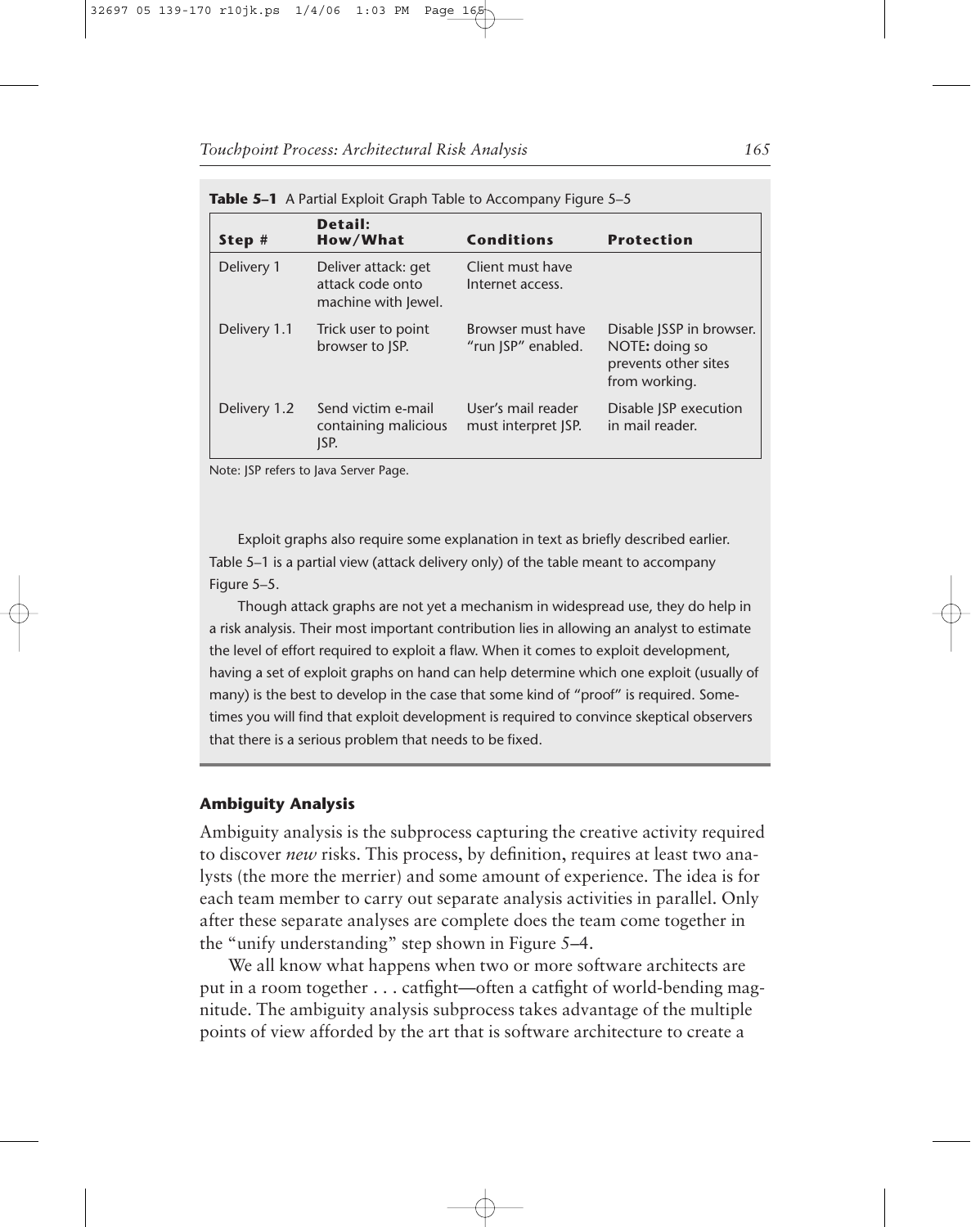#### *Touchpoint Process: Architectural Risk Analysis 165*

**Table 5–1** A Partial Exploit Graph Table to Accompany Figure 5–5

|              | Detail:                                                        |                                           |                                                                                     |
|--------------|----------------------------------------------------------------|-------------------------------------------|-------------------------------------------------------------------------------------|
| Step #       | How/What                                                       | <b>Conditions</b>                         | <b>Protection</b>                                                                   |
| Delivery 1   | Deliver attack: get<br>attack code onto<br>machine with lewel. | Client must have<br>Internet access.      |                                                                                     |
| Delivery 1.1 | Trick user to point<br>browser to JSP.                         | Browser must have<br>"run JSP" enabled.   | Disable JSSP in browser.<br>NOTE: doing so<br>prevents other sites<br>from working. |
| Delivery 1.2 | Send victim e-mail<br>containing malicious<br>ISP.             | User's mail reader<br>must interpret JSP. | Disable JSP execution<br>in mail reader.                                            |

Note: JSP refers to Java Server Page.

Exploit graphs also require some explanation in text as briefly described earlier. Table 5–1 is a partial view (attack delivery only) of the table meant to accompany Figure 5–5.

Though attack graphs are not yet a mechanism in widespread use, they do help in a risk analysis. Their most important contribution lies in allowing an analyst to estimate the level of effort required to exploit a flaw. When it comes to exploit development, having a set of exploit graphs on hand can help determine which one exploit (usually of many) is the best to develop in the case that some kind of "proof" is required. Sometimes you will find that exploit development is required to convince skeptical observers that there is a serious problem that needs to be fixed.

# **Ambiguity Analysis**

Ambiguity analysis is the subprocess capturing the creative activity required to discover *new* risks. This process, by definition, requires at least two analysts (the more the merrier) and some amount of experience. The idea is for each team member to carry out separate analysis activities in parallel. Only after these separate analyses are complete does the team come together in the "unify understanding" step shown in Figure 5–4.

We all know what happens when two or more software architects are put in a room together . . . catfight—often a catfight of world-bending magnitude. The ambiguity analysis subprocess takes advantage of the multiple points of view afforded by the art that is software architecture to create a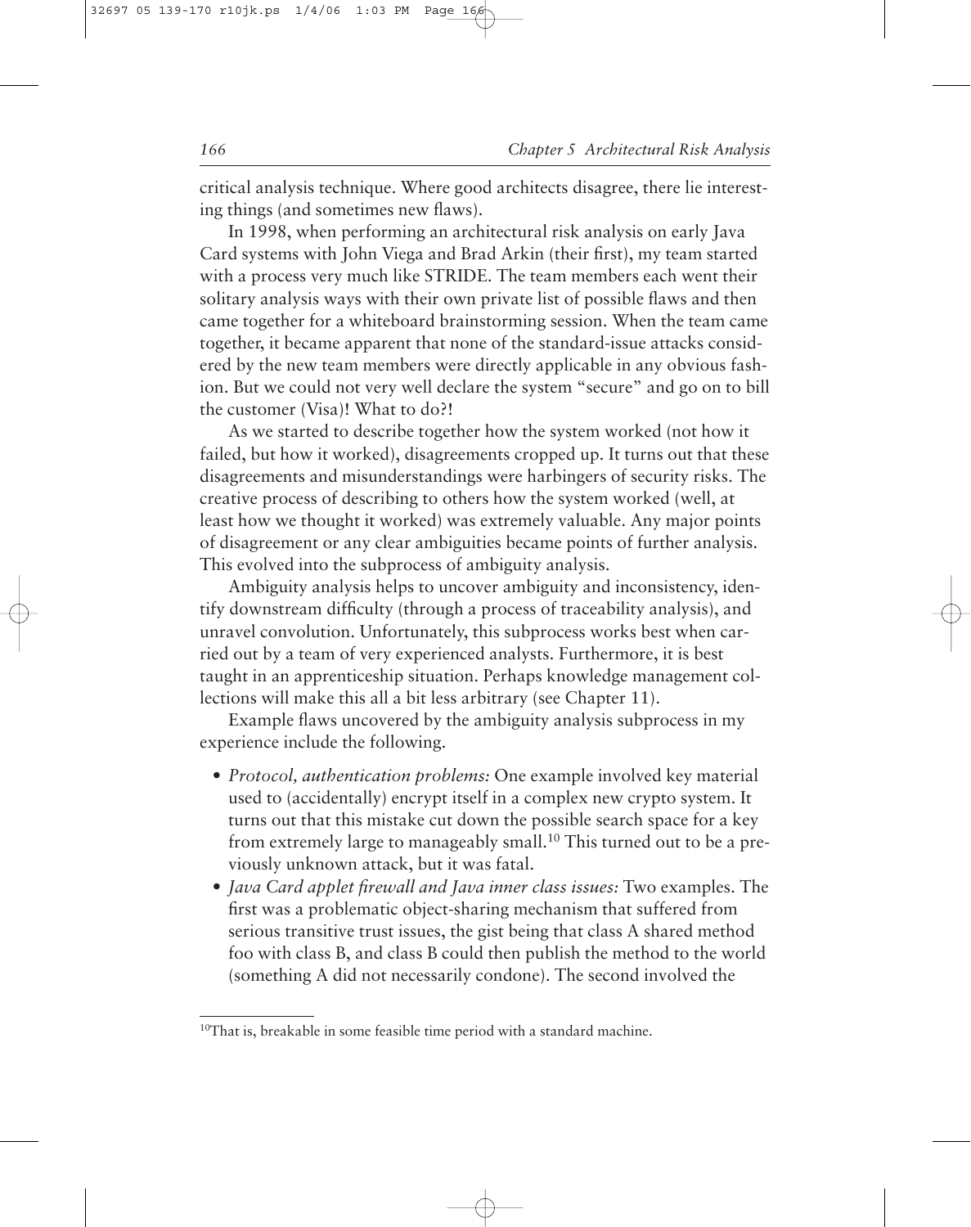critical analysis technique. Where good architects disagree, there lie interesting things (and sometimes new flaws).

In 1998, when performing an architectural risk analysis on early Java Card systems with John Viega and Brad Arkin (their first), my team started with a process very much like STRIDE. The team members each went their solitary analysis ways with their own private list of possible flaws and then came together for a whiteboard brainstorming session. When the team came together, it became apparent that none of the standard-issue attacks considered by the new team members were directly applicable in any obvious fashion. But we could not very well declare the system "secure" and go on to bill the customer (Visa)! What to do?!

As we started to describe together how the system worked (not how it failed, but how it worked), disagreements cropped up. It turns out that these disagreements and misunderstandings were harbingers of security risks. The creative process of describing to others how the system worked (well, at least how we thought it worked) was extremely valuable. Any major points of disagreement or any clear ambiguities became points of further analysis. This evolved into the subprocess of ambiguity analysis.

Ambiguity analysis helps to uncover ambiguity and inconsistency, identify downstream difficulty (through a process of traceability analysis), and unravel convolution. Unfortunately, this subprocess works best when carried out by a team of very experienced analysts. Furthermore, it is best taught in an apprenticeship situation. Perhaps knowledge management collections will make this all a bit less arbitrary (see Chapter 11).

Example flaws uncovered by the ambiguity analysis subprocess in my experience include the following.

- *Protocol, authentication problems:* One example involved key material used to (accidentally) encrypt itself in a complex new crypto system. It turns out that this mistake cut down the possible search space for a key from extremely large to manageably small.<sup>10</sup> This turned out to be a previously unknown attack, but it was fatal.
- *Java Card applet firewall and Java inner class issues:* Two examples. The first was a problematic object-sharing mechanism that suffered from serious transitive trust issues, the gist being that class A shared method foo with class B, and class B could then publish the method to the world (something A did not necessarily condone). The second involved the

<sup>&</sup>lt;sup>10</sup>That is, breakable in some feasible time period with a standard machine.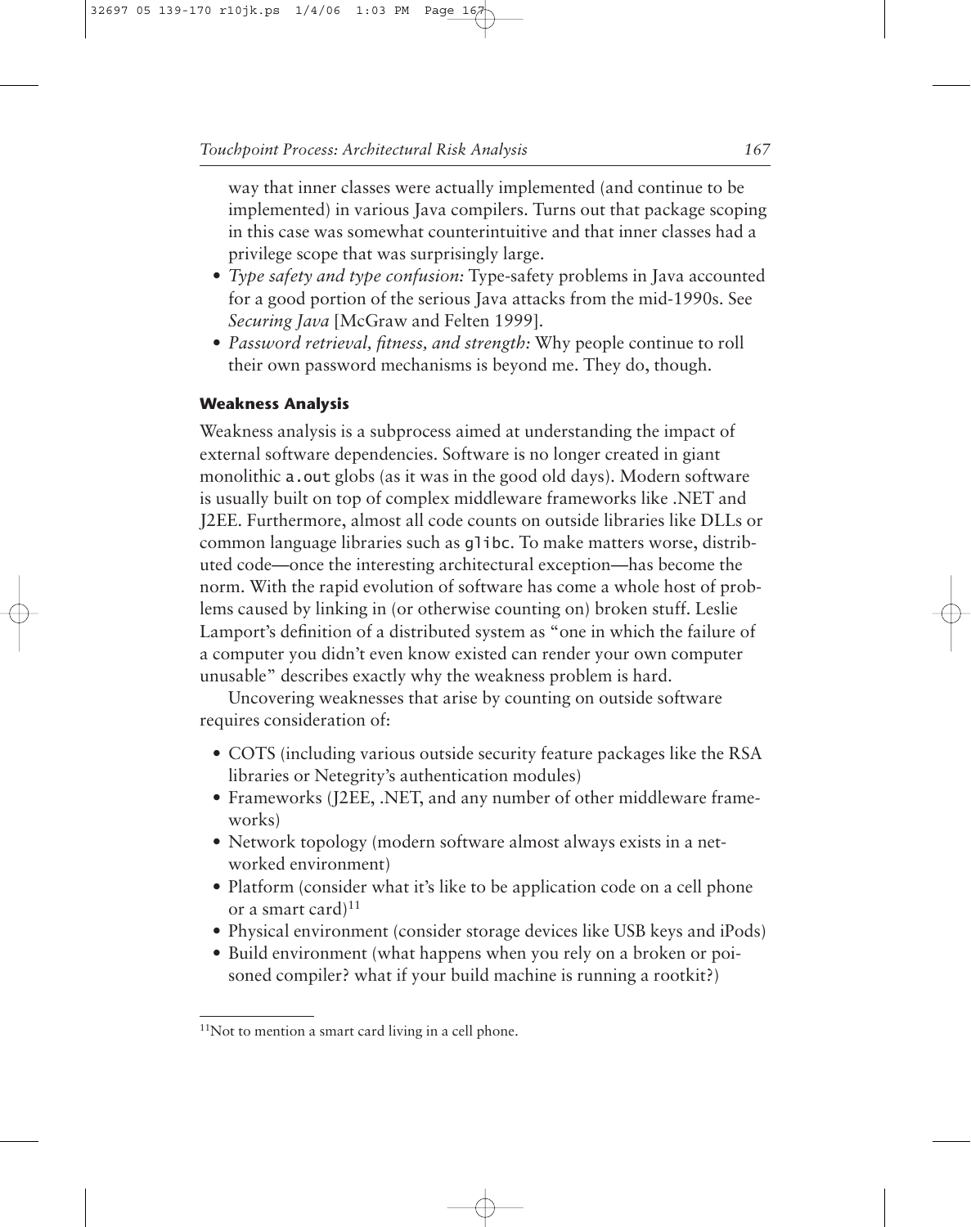#### *Touchpoint Process: Architectural Risk Analysis 167*

way that inner classes were actually implemented (and continue to be implemented) in various Java compilers. Turns out that package scoping in this case was somewhat counterintuitive and that inner classes had a privilege scope that was surprisingly large.

- *Type safety and type confusion:* Type-safety problems in Java accounted for a good portion of the serious Java attacks from the mid-1990s. See *Securing Java* [McGraw and Felten 1999].
- *Password retrieval, fitness, and strength:* Why people continue to roll their own password mechanisms is beyond me. They do, though.

## **Weakness Analysis**

Weakness analysis is a subprocess aimed at understanding the impact of external software dependencies. Software is no longer created in giant monolithic a. out globs (as it was in the good old days). Modern software is usually built on top of complex middleware frameworks like .NET and J2EE. Furthermore, almost all code counts on outside libraries like DLLs or common language libraries such as glibc. To make matters worse, distributed code—once the interesting architectural exception—has become the norm. With the rapid evolution of software has come a whole host of problems caused by linking in (or otherwise counting on) broken stuff. Leslie Lamport's definition of a distributed system as "one in which the failure of a computer you didn't even know existed can render your own computer unusable" describes exactly why the weakness problem is hard.

Uncovering weaknesses that arise by counting on outside software requires consideration of:

- COTS (including various outside security feature packages like the RSA libraries or Netegrity's authentication modules)
- Frameworks (J2EE, .NET, and any number of other middleware frameworks)
- Network topology (modern software almost always exists in a networked environment)
- Platform (consider what it's like to be application code on a cell phone or a smart card)<sup>11</sup>
- Physical environment (consider storage devices like USB keys and iPods)
- Build environment (what happens when you rely on a broken or poisoned compiler? what if your build machine is running a rootkit?)

 $11$ Not to mention a smart card living in a cell phone.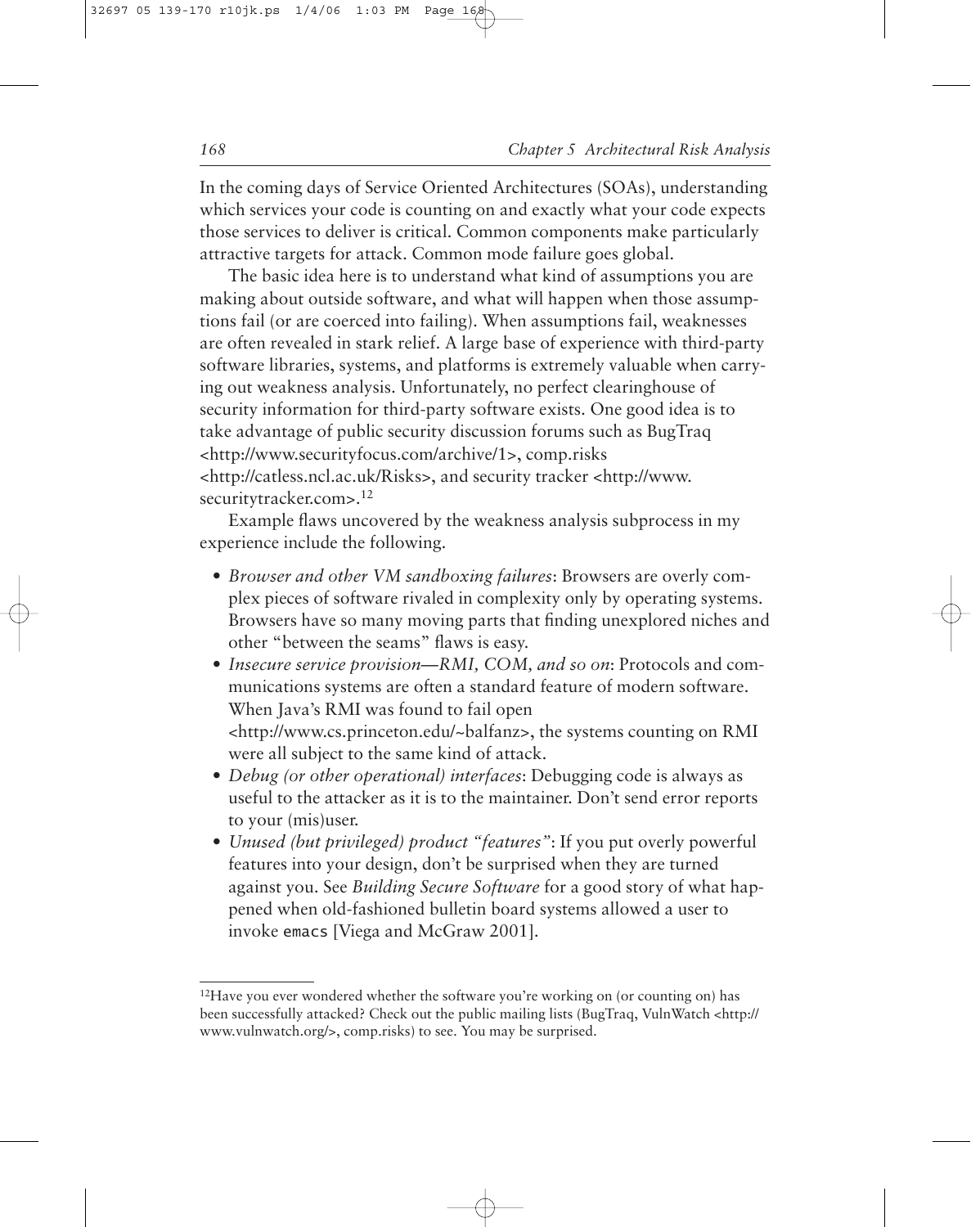32697 05 139-170 r10jk.ps 1/4/06 1:03 PM Page

In the coming days of Service Oriented Architectures (SOAs), understanding which services your code is counting on and exactly what your code expects those services to deliver is critical. Common components make particularly attractive targets for attack. Common mode failure goes global.

The basic idea here is to understand what kind of assumptions you are making about outside software, and what will happen when those assumptions fail (or are coerced into failing). When assumptions fail, weaknesses are often revealed in stark relief. A large base of experience with third-party software libraries, systems, and platforms is extremely valuable when carrying out weakness analysis. Unfortunately, no perfect clearinghouse of security information for third-party software exists. One good idea is to take advantage of public security discussion forums such as BugTraq <http://www.securityfocus.com/archive/1>, comp.risks <http://catless.ncl.ac.uk/Risks>, and security tracker <http://www. securitytracker.com>.<sup>12</sup>

Example flaws uncovered by the weakness analysis subprocess in my experience include the following.

- *Browser and other VM sandboxing failures*: Browsers are overly complex pieces of software rivaled in complexity only by operating systems. Browsers have so many moving parts that finding unexplored niches and other "between the seams" flaws is easy.
- *Insecure service provision—RMI, COM, and so on*: Protocols and communications systems are often a standard feature of modern software. When Java's RMI was found to fail open <http://www.cs.princeton.edu/~balfanz>, the systems counting on RMI were all subject to the same kind of attack.
- *Debug (or other operational) interfaces*: Debugging code is always as useful to the attacker as it is to the maintainer. Don't send error reports to your (mis)user.
- *Unused (but privileged) product "features"*: If you put overly powerful features into your design, don't be surprised when they are turned against you. See *Building Secure Software* for a good story of what happened when old-fashioned bulletin board systems allowed a user to invoke emacs [Viega and McGraw 2001].

<sup>&</sup>lt;sup>12</sup>Have you ever wondered whether the software you're working on (or counting on) has been successfully attacked? Check out the public mailing lists (BugTraq, VulnWatch <http:// www.vulnwatch.org/>, comp.risks) to see. You may be surprised.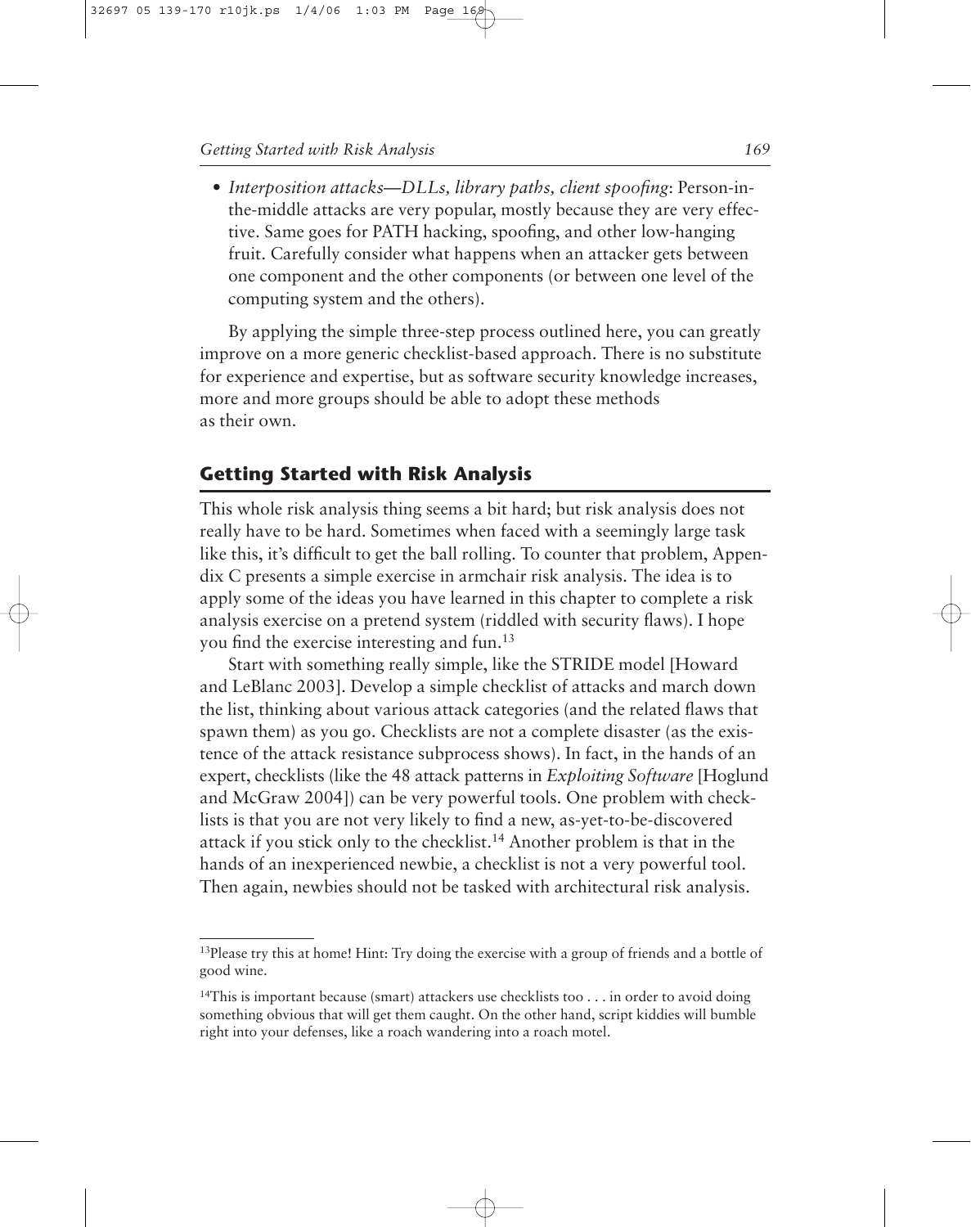#### *Getting Started with Risk Analysis 169*

• *Interposition attacks—DLLs, library paths, client spoofing*: Person-inthe-middle attacks are very popular, mostly because they are very effective. Same goes for PATH hacking, spoofing, and other low-hanging fruit. Carefully consider what happens when an attacker gets between one component and the other components (or between one level of the computing system and the others).

By applying the simple three-step process outlined here, you can greatly improve on a more generic checklist-based approach. There is no substitute for experience and expertise, but as software security knowledge increases, more and more groups should be able to adopt these methods as their own.

## **Getting Started with Risk Analysis**

This whole risk analysis thing seems a bit hard; but risk analysis does not really have to be hard. Sometimes when faced with a seemingly large task like this, it's difficult to get the ball rolling. To counter that problem, Appendix C presents a simple exercise in armchair risk analysis. The idea is to apply some of the ideas you have learned in this chapter to complete a risk analysis exercise on a pretend system (riddled with security flaws). I hope you find the exercise interesting and fun.13

Start with something really simple, like the STRIDE model [Howard and LeBlanc 2003]. Develop a simple checklist of attacks and march down the list, thinking about various attack categories (and the related flaws that spawn them) as you go. Checklists are not a complete disaster (as the existence of the attack resistance subprocess shows). In fact, in the hands of an expert, checklists (like the 48 attack patterns in *Exploiting Software* [Hoglund and McGraw 2004]) can be very powerful tools. One problem with checklists is that you are not very likely to find a new, as-yet-to-be-discovered attack if you stick only to the checklist.14 Another problem is that in the hands of an inexperienced newbie, a checklist is not a very powerful tool. Then again, newbies should not be tasked with architectural risk analysis.

<sup>&</sup>lt;sup>13</sup>Please try this at home! Hint: Try doing the exercise with a group of friends and a bottle of good wine.

<sup>&</sup>lt;sup>14</sup>This is important because (smart) attackers use checklists too  $\dots$  in order to avoid doing something obvious that will get them caught. On the other hand, script kiddies will bumble right into your defenses, like a roach wandering into a roach motel.